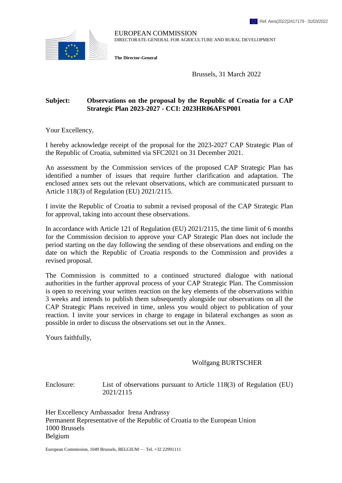

EUROPEAN COMMISSION DIRECTORATE-GENERAL FOR AGRICULTURE AND RURAL DEVELOPMENT

**The Director-General**

Brussels, 31 March 2022

#### **Subject: Observations on the proposal by the Republic of Croatia for a CAP Strategic Plan 2023-2027 - CCI: 2023HR06AFSP001**

Your Excellency,

I hereby acknowledge receipt of the proposal for the 2023-2027 CAP Strategic Plan of the Republic of Croatia, submitted via SFC2021 on 31 December 2021.

An assessment by the Commission services of the proposed CAP Strategic Plan has identified a number of issues that require further clarification and adaptation. The enclosed annex sets out the relevant observations, which are communicated pursuant to Article 118(3) of Regulation (EU) 2021/2115.

I invite the Republic of Croatia to submit a revised proposal of the CAP Strategic Plan for approval, taking into account these observations.

In accordance with Article 121 of Regulation (EU) 2021/2115, the time limit of 6 months for the Commission decision to approve your CAP Strategic Plan does not include the period starting on the day following the sending of these observations and ending on the date on which the Republic of Croatia responds to the Commission and provides a revised proposal.

The Commission is committed to a continued structured dialogue with national authorities in the further approval process of your CAP Strategic Plan. The Commission is open to receiving your written reaction on the key elements of the observations within 3 weeks and intends to publish them subsequently alongside our observations on all the CAP Strategic Plans received in time, unless you would object to publication of your reaction. I invite your services in charge to engage in bilateral exchanges as soon as possible in order to discuss the observations set out in the Annex.

Yours faithfully,

Wolfgang BURTSCHER

Enclosure: List of observations pursuant to Article 118(3) of Regulation (EU) 2021/2115

Her Excellency Ambassador Irena Andrassy Permanent Representative of the Republic of Croatia to the European Union 1000 Brussels Belgium

European Commission, 1049 Brussels, BELGIUM — Tel. +32 22991111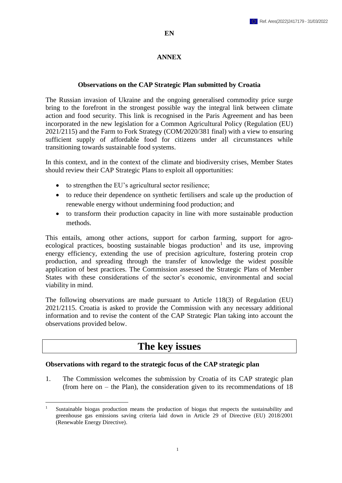#### **EN**

#### **ANNEX**

#### **Observations on the CAP Strategic Plan submitted by Croatia**

The Russian invasion of Ukraine and the ongoing generalised commodity price surge bring to the forefront in the strongest possible way the integral link between climate action and food security. This link is recognised in the Paris Agreement and has been incorporated in the new legislation for a Common Agricultural Policy (Regulation (EU) 2021/2115) and the Farm to Fork Strategy (COM/2020/381 final) with a view to ensuring sufficient supply of affordable food for citizens under all circumstances while transitioning towards sustainable food systems.

In this context, and in the context of the climate and biodiversity crises, Member States should review their CAP Strategic Plans to exploit all opportunities:

- to strengthen the EU's agricultural sector resilience:
- to reduce their dependence on synthetic fertilisers and scale up the production of renewable energy without undermining food production; and
- to transform their production capacity in line with more sustainable production methods.

This entails, among other actions, support for carbon farming, support for agroecological practices, boosting sustainable biogas production<sup>1</sup> and its use, improving energy efficiency, extending the use of precision agriculture, fostering protein crop production, and spreading through the transfer of knowledge the widest possible application of best practices. The Commission assessed the Strategic Plans of Member States with these considerations of the sector's economic, environmental and social viability in mind.

The following observations are made pursuant to Article 118(3) of Regulation (EU) 2021/2115. Croatia is asked to provide the Commission with any necessary additional information and to revise the content of the CAP Strategic Plan taking into account the observations provided below.

## **The key issues**

#### **Observations with regard to the strategic focus of the CAP strategic plan**

 $\overline{a}$ 

1. The Commission welcomes the submission by Croatia of its CAP strategic plan (from here on – the Plan), the consideration given to its recommendations of 18

<sup>&</sup>lt;sup>1</sup> Sustainable biogas production means the production of biogas that respects the sustainability and greenhouse gas emissions saving criteria laid down in Article 29 of Directive (EU) 2018/2001 (Renewable Energy Directive).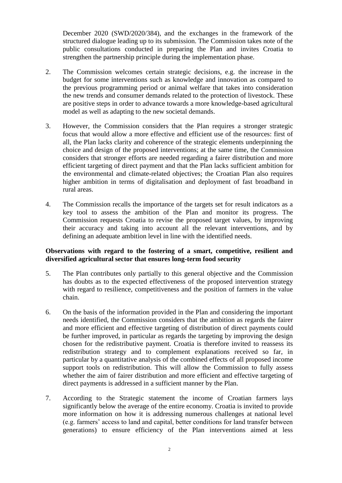December 2020 (SWD/2020/384), and the exchanges in the framework of the structured dialogue leading up to its submission. The Commission takes note of the public consultations conducted in preparing the Plan and invites Croatia to strengthen the partnership principle during the implementation phase.

- 2. The Commission welcomes certain strategic decisions, e.g. the increase in the budget for some interventions such as knowledge and innovation as compared to the previous programming period or animal welfare that takes into consideration the new trends and consumer demands related to the protection of livestock. These are positive steps in order to advance towards a more knowledge-based agricultural model as well as adapting to the new societal demands.
- 3. However, the Commission considers that the Plan requires a stronger strategic focus that would allow a more effective and efficient use of the resources: first of all, the Plan lacks clarity and coherence of the strategic elements underpinning the choice and design of the proposed interventions; at the same time, the Commission considers that stronger efforts are needed regarding a fairer distribution and more efficient targeting of direct payment and that the Plan lacks sufficient ambition for the environmental and climate-related objectives; the Croatian Plan also requires higher ambition in terms of digitalisation and deployment of fast broadband in rural areas.
- 4. The Commission recalls the importance of the targets set for result indicators as a key tool to assess the ambition of the Plan and monitor its progress. The Commission requests Croatia to revise the proposed target values, by improving their accuracy and taking into account all the relevant interventions, and by defining an adequate ambition level in line with the identified needs.

#### **Observations with regard to the fostering of a smart, competitive, resilient and diversified agricultural sector that ensures long-term food security**

- 5. The Plan contributes only partially to this general objective and the Commission has doubts as to the expected effectiveness of the proposed intervention strategy with regard to resilience, competitiveness and the position of farmers in the value chain.
- 6. On the basis of the information provided in the Plan and considering the important needs identified, the Commission considers that the ambition as regards the fairer and more efficient and effective targeting of distribution of direct payments could be further improved, in particular as regards the targeting by improving the design chosen for the redistributive payment. Croatia is therefore invited to reassess its redistribution strategy and to complement explanations received so far, in particular by a quantitative analysis of the combined effects of all proposed income support tools on redistribution. This will allow the Commission to fully assess whether the aim of fairer distribution and more efficient and effective targeting of direct payments is addressed in a sufficient manner by the Plan.
- 7. According to the Strategic statement the income of Croatian farmers lays significantly below the average of the entire economy. Croatia is invited to provide more information on how it is addressing numerous challenges at national level (e.g. farmers' access to land and capital, better conditions for land transfer between generations) to ensure efficiency of the Plan interventions aimed at less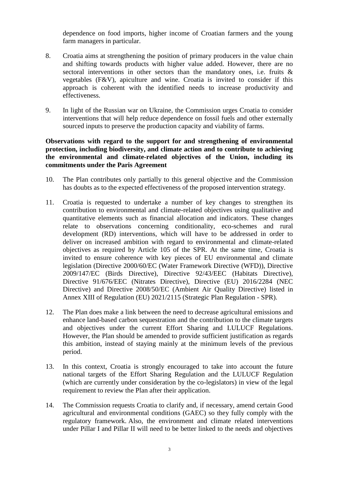dependence on food imports, higher income of Croatian farmers and the young farm managers in particular.

- 8. Croatia aims at strengthening the position of primary producers in the value chain and shifting towards products with higher value added. However, there are no sectoral interventions in other sectors than the mandatory ones, i.e. fruits & vegetables (F&V), apiculture and wine. Croatia is invited to consider if this approach is coherent with the identified needs to increase productivity and effectiveness.
- 9. In light of the Russian war on Ukraine, the Commission urges Croatia to consider interventions that will help reduce dependence on fossil fuels and other externally sourced inputs to preserve the production capacity and viability of farms.

#### **Observations with regard to the support for and strengthening of environmental protection, including biodiversity, and climate action and to contribute to achieving the environmental and climate-related objectives of the Union, including its commitments under the Paris Agreement**

- 10. The Plan contributes only partially to this general objective and the Commission has doubts as to the expected effectiveness of the proposed intervention strategy.
- 11. Croatia is requested to undertake a number of key changes to strengthen its contribution to environmental and climate-related objectives using qualitative and quantitative elements such as financial allocation and indicators. These changes relate to observations concerning conditionality, eco-schemes and rural development (RD) interventions, which will have to be addressed in order to deliver on increased ambition with regard to environmental and climate-related objectives as required by Article 105 of the SPR. At the same time, Croatia is invited to ensure coherence with key pieces of EU environmental and climate legislation (Directive 2000/60/EC (Water Framework Directive (WFD)), Directive 2009/147/EC (Birds Directive), Directive 92/43/EEC (Habitats Directive), Directive 91/676/EEC (Nitrates Directive), Directive (EU) 2016/2284 (NEC Directive) and Directive 2008/50/EC (Ambient Air Quality Directive) listed in Annex XIII of Regulation (EU) 2021/2115 (Strategic Plan Regulation - SPR).
- 12. The Plan does make a link between the need to decrease agricultural emissions and enhance land-based carbon sequestration and the contribution to the climate targets and objectives under the current Effort Sharing and LULUCF Regulations. However, the Plan should be amended to provide sufficient justification as regards this ambition, instead of staying mainly at the minimum levels of the previous period.
- 13. In this context, Croatia is strongly encouraged to take into account the future national targets of the Effort Sharing Regulation and the LULUCF Regulation (which are currently under consideration by the co-legislators) in view of the legal requirement to review the Plan after their application.
- 14. The Commission requests Croatia to clarify and, if necessary, amend certain Good agricultural and environmental conditions (GAEC) so they fully comply with the regulatory framework. Also, the environment and climate related interventions under Pillar I and Pillar II will need to be better linked to the needs and objectives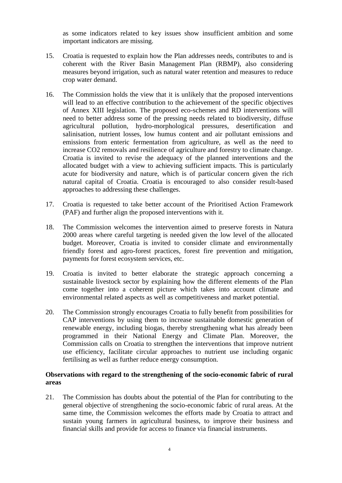as some indicators related to key issues show insufficient ambition and some important indicators are missing.

- 15. Croatia is requested to explain how the Plan addresses needs, contributes to and is coherent with the River Basin Management Plan (RBMP), also considering measures beyond irrigation, such as natural water retention and measures to reduce crop water demand.
- 16. The Commission holds the view that it is unlikely that the proposed interventions will lead to an effective contribution to the achievement of the specific objectives of Annex XIII legislation. The proposed eco-schemes and RD interventions will need to better address some of the pressing needs related to biodiversity, diffuse agricultural pollution, hydro-morphological pressures, desertification and salinisation, nutrient losses, low humus content and air pollutant emissions and emissions from enteric fermentation from agriculture, as well as the need to increase CO2 removals and resilience of agriculture and forestry to climate change. Croatia is invited to revise the adequacy of the planned interventions and the allocated budget with a view to achieving sufficient impacts. This is particularly acute for biodiversity and nature, which is of particular concern given the rich natural capital of Croatia. Croatia is encouraged to also consider result-based approaches to addressing these challenges.
- 17. Croatia is requested to take better account of the Prioritised Action Framework (PAF) and further align the proposed interventions with it.
- 18. The Commission welcomes the intervention aimed to preserve forests in Natura 2000 areas where careful targeting is needed given the low level of the allocated budget. Moreover, Croatia is invited to consider climate and environmentally friendly forest and agro-forest practices, forest fire prevention and mitigation, payments for forest ecosystem services, etc.
- 19. Croatia is invited to better elaborate the strategic approach concerning a sustainable livestock sector by explaining how the different elements of the Plan come together into a coherent picture which takes into account climate and environmental related aspects as well as competitiveness and market potential.
- 20. The Commission strongly encourages Croatia to fully benefit from possibilities for CAP interventions by using them to increase sustainable domestic generation of renewable energy, including biogas, thereby strengthening what has already been programmed in their National Energy and Climate Plan. Moreover, the Commission calls on Croatia to strengthen the interventions that improve nutrient use efficiency, facilitate circular approaches to nutrient use including organic fertilising as well as further reduce energy consumption.

#### **Observations with regard to the strengthening of the socio-economic fabric of rural areas**

21. The Commission has doubts about the potential of the Plan for contributing to the general objective of strengthening the socio-economic fabric of rural areas. At the same time, the Commission welcomes the efforts made by Croatia to attract and sustain young farmers in agricultural business, to improve their business and financial skills and provide for access to finance via financial instruments.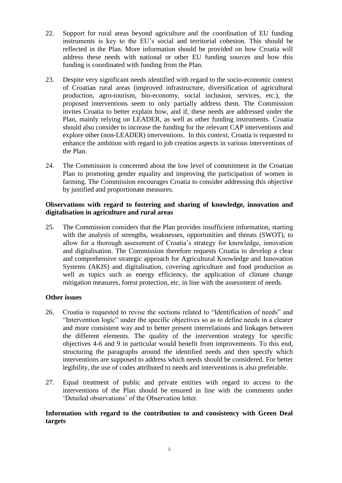- 22. Support for rural areas beyond agriculture and the coordination of EU funding instruments is key to the EU's social and territorial cohesion. This should be reflected in the Plan. More information should be provided on how Croatia will address these needs with national or other EU funding sources and how this funding is coordinated with funding from the Plan.
- 23. Despite very significant needs identified with regard to the socio-economic context of Croatian rural areas (improved infrastructure, diversification of agricultural production, agro-tourism, bio-economy, social inclusion, services, etc.), the proposed interventions seem to only partially address them. The Commission invites Croatia to better explain how, and if, these needs are addressed under the Plan, mainly relying on LEADER, as well as other funding instruments. Croatia should also consider to increase the funding for the relevant CAP interventions and explore other (non-LEADER) interventions. In this context, Croatia is requested to enhance the ambition with regard to job creation aspects in various interventions of the Plan.
- 24. The Commission is concerned about the low level of commitment in the Croatian Plan to promoting gender equality and improving the participation of women in farming. The Commission encourages Croatia to consider addressing this objective by justified and proportionate measures.

#### **Observations with regard to fostering and sharing of knowledge, innovation and digitalisation in agriculture and rural areas**

25. The Commission considers that the Plan provides insufficient information, starting with the analysis of strengths, weaknesses, opportunities and threats (SWOT), to allow for a thorough assessment of Croatia's strategy for knowledge, innovation and digitalisation. The Commission therefore requests Croatia to develop a clear and comprehensive strategic approach for Agricultural Knowledge and Innovation Systems (AKIS) and digitalisation, covering agriculture and food production as well as topics such as energy efficiency, the application of climate change mitigation measures, forest protection, etc. in line with the assessment of needs.

## **Other issues**

- 26. Croatia is requested to revise the sections related to "Identification of needs" and "Intervention logic" under the specific objectives so as to define needs in a clearer and more consistent way and to better present interrelations and linkages between the different elements. The quality of the intervention strategy for specific objectives 4-6 and 9 in particular would benefit from improvements. To this end, structuring the paragraphs around the identified needs and then specify which interventions are supposed to address which needs should be considered. For better legibility, the use of codes attributed to needs and interventions is also preferable.
- 27. Equal treatment of public and private entities with regard to access to the interventions of the Plan should be ensured in line with the comments under 'Detailed observations' of the Observation letter.

#### **Information with regard to the contribution to and consistency with Green Deal targets**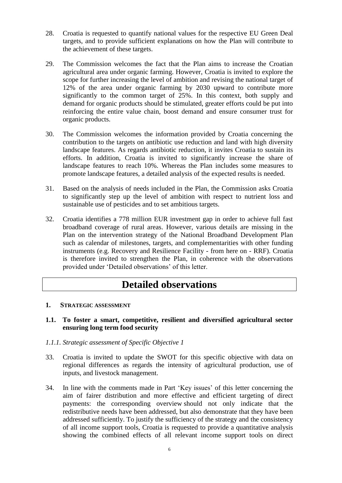- 28. Croatia is requested to quantify national values for the respective EU Green Deal targets, and to provide sufficient explanations on how the Plan will contribute to the achievement of these targets.
- 29. The Commission welcomes the fact that the Plan aims to increase the Croatian agricultural area under organic farming. However, Croatia is invited to explore the scope for further increasing the level of ambition and revising the national target of 12% of the area under organic farming by 2030 upward to contribute more significantly to the common target of 25%. In this context, both supply and demand for organic products should be stimulated, greater efforts could be put into reinforcing the entire value chain, boost demand and ensure consumer trust for organic products.
- 30. The Commission welcomes the information provided by Croatia concerning the contribution to the targets on antibiotic use reduction and land with high diversity landscape features. As regards antibiotic reduction, it invites Croatia to sustain its efforts. In addition, Croatia is invited to significantly increase the share of landscape features to reach 10%. Whereas the Plan includes some measures to promote landscape features, a detailed analysis of the expected results is needed.
- 31. Based on the analysis of needs included in the Plan, the Commission asks Croatia to significantly step up the level of ambition with respect to nutrient loss and sustainable use of pesticides and to set ambitious targets.
- 32. Croatia identifies a 778 million EUR investment gap in order to achieve full fast broadband coverage of rural areas. However, various details are missing in the Plan on the intervention strategy of the National Broadband Development Plan such as calendar of milestones, targets, and complementarities with other funding instruments (e.g. Recovery and Resilience Facility - from here on - RRF). Croatia is therefore invited to strengthen the Plan, in coherence with the observations provided under 'Detailed observations' of this letter.

# **Detailed observations**

#### **1. STRATEGIC ASSESSMENT**

#### **1.1. To foster a smart, competitive, resilient and diversified agricultural sector ensuring long term food security**

#### *1.1.1. Strategic assessment of Specific Objective 1*

- 33. Croatia is invited to update the SWOT for this specific objective with data on regional differences as regards the intensity of agricultural production, use of inputs, and livestock management.
- 34. In line with the comments made in Part 'Key issues' of this letter concerning the aim of fairer distribution and more effective and efficient targeting of direct payments: the corresponding overview should not only indicate that the redistributive needs have been addressed, but also demonstrate that they have been addressed sufficiently. To justify the sufficiency of the strategy and the consistency of all income support tools, Croatia is requested to provide a quantitative analysis showing the combined effects of all relevant income support tools on direct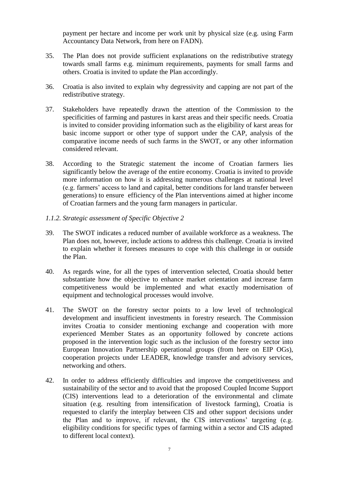payment per hectare and income per work unit by physical size (e.g. using Farm Accountancy Data Network, from here on FADN).

- 35. The Plan does not provide sufficient explanations on the redistributive strategy towards small farms e.g. minimum requirements, payments for small farms and others. Croatia is invited to update the Plan accordingly.
- 36. Croatia is also invited to explain why degressivity and capping are not part of the redistributive strategy.
- 37. Stakeholders have repeatedly drawn the attention of the Commission to the specificities of farming and pastures in karst areas and their specific needs. Croatia is invited to consider providing information such as the eligibility of karst areas for basic income support or other type of support under the CAP, analysis of the comparative income needs of such farms in the SWOT, or any other information considered relevant.
- 38. According to the Strategic statement the income of Croatian farmers lies significantly below the average of the entire economy. Croatia is invited to provide more information on how it is addressing numerous challenges at national level (e.g. farmers' access to land and capital, better conditions for land transfer between generations) to ensure efficiency of the Plan interventions aimed at higher income of Croatian farmers and the young farm managers in particular.
- *1.1.2. Strategic assessment of Specific Objective 2*
- 39. The SWOT indicates a reduced number of available workforce as a weakness. The Plan does not, however, include actions to address this challenge. Croatia is invited to explain whether it foresees measures to cope with this challenge in or outside the Plan.
- 40. As regards wine, for all the types of intervention selected, Croatia should better substantiate how the objective to enhance market orientation and increase farm competitiveness would be implemented and what exactly modernisation of equipment and technological processes would involve.
- 41. The SWOT on the forestry sector points to a low level of technological development and insufficient investments in forestry research. The Commission invites Croatia to consider mentioning exchange and cooperation with more experienced Member States as an opportunity followed by concrete actions proposed in the intervention logic such as the inclusion of the forestry sector into European Innovation Partnership operational groups (from here on EIP OGs), cooperation projects under LEADER, knowledge transfer and advisory services, networking and others.
- 42. In order to address efficiently difficulties and improve the competitiveness and sustainability of the sector and to avoid that the proposed Coupled Income Support (CIS) interventions lead to a deterioration of the environmental and climate situation (e.g. resulting from intensification of livestock farming), Croatia is requested to clarify the interplay between CIS and other support decisions under the Plan and to improve, if relevant, the CIS interventions' targeting (e.g. eligibility conditions for specific types of farming within a sector and CIS adapted to different local context).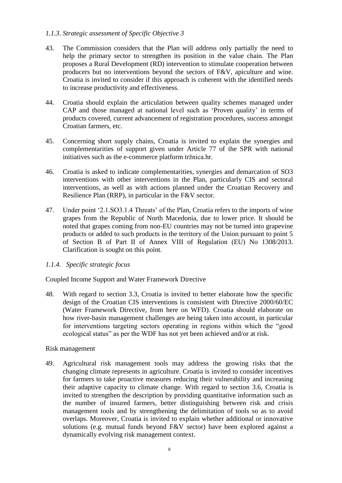#### *1.1.3. Strategic assessment of Specific Objective 3*

- 43. The Commission considers that the Plan will address only partially the need to help the primary sector to strengthen its position in the value chain. The Plan proposes a Rural Development (RD) intervention to stimulate cooperation between producers but no interventions beyond the sectors of F&V, apiculture and wine. Croatia is invited to consider if this approach is coherent with the identified needs to increase productivity and effectiveness.
- 44. Croatia should explain the articulation between quality schemes managed under CAP and those managed at national level such as 'Proven quality' in terms of products covered, current advancement of registration procedures, success amongst Croatian farmers, etc.
- 45. Concerning short supply chains, Croatia is invited to explain the synergies and complementarities of support given under Article 77 of the SPR with national initiatives such as the e-commerce platform tržnica.hr.
- 46. Croatia is asked to indicate complementarities, synergies and demarcation of SO3 interventions with other interventions in the Plan, particularly CIS and sectoral interventions, as well as with actions planned under the Croatian Recovery and Resilience Plan (RRP), in particular in the F&V sector.
- 47. Under point '2.1.SO3.1.4 Threats' of the Plan, Croatia refers to the imports of wine grapes from the Republic of North Macedonia, due to lower price. It should be noted that grapes coming from non-EU countries may not be turned into grapevine products or added to such products in the territory of the Union pursuant to point 5 of Section B of Part II of Annex VIII of Regulation (EU) No 1308/2013. Clarification is sought on this point.
- *1.1.4. Specific strategic focus*

Coupled Income Support and Water Framework Directive

48. With regard to section 3.3, Croatia is invited to better elaborate how the specific design of the Croatian CIS interventions is consistent with Directive 2000/60/EC (Water Framework Directive, from here on WFD). Croatia should elaborate on how river-basin management challenges are being taken into account, in particular for interventions targeting sectors operating in regions within which the "good ecological status" as per the WDF has not yet been achieved and/or at risk.

#### Risk management

49. Agricultural risk management tools may address the growing risks that the changing climate represents in agriculture. Croatia is invited to consider incentives for farmers to take proactive measures reducing their vulnerability and increasing their adaptive capacity to climate change. With regard to section 3.6, Croatia is invited to strengthen the description by providing quantitative information such as the number of insured farmers, better distinguishing between risk and crisis management tools and by strengthening the delimitation of tools so as to avoid overlaps. Moreover, Croatia is invited to explain whether additional or innovative solutions (e.g. mutual funds beyond F&V sector) have been explored against a dynamically evolving risk management context.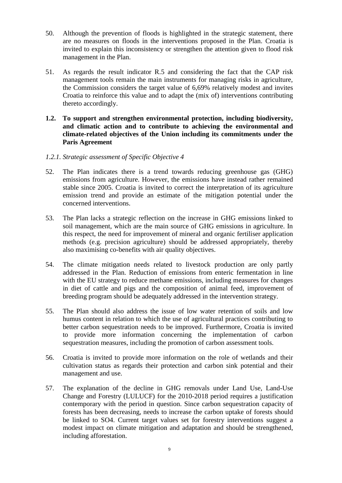- 50. Although the prevention of floods is highlighted in the strategic statement, there are no measures on floods in the interventions proposed in the Plan. Croatia is invited to explain this inconsistency or strengthen the attention given to flood risk management in the Plan.
- 51. As regards the result indicator R.5 and considering the fact that the CAP risk management tools remain the main instruments for managing risks in agriculture, the Commission considers the target value of 6,69% relatively modest and invites Croatia to reinforce this value and to adapt the (mix of) interventions contributing thereto accordingly.
- **1.2. To support and strengthen environmental protection, including biodiversity, and climatic action and to contribute to achieving the environmental and climate-related objectives of the Union including its commitments under the Paris Agreement**
- *1.2.1. Strategic assessment of Specific Objective 4*
- 52. The Plan indicates there is a trend towards reducing greenhouse gas (GHG) emissions from agriculture. However, the emissions have instead rather remained stable since 2005. Croatia is invited to correct the interpretation of its agriculture emission trend and provide an estimate of the mitigation potential under the concerned interventions.
- 53. The Plan lacks a strategic reflection on the increase in GHG emissions linked to soil management, which are the main source of GHG emissions in agriculture. In this respect, the need for improvement of mineral and organic fertiliser application methods (e.g. precision agriculture) should be addressed appropriately, thereby also maximising co-benefits with air quality objectives.
- 54. The climate mitigation needs related to livestock production are only partly addressed in the Plan. Reduction of emissions from enteric fermentation in line with the EU strategy to reduce methane emissions, including measures for changes in diet of cattle and pigs and the composition of animal feed, improvement of breeding program should be adequately addressed in the intervention strategy.
- 55. The Plan should also address the issue of low water retention of soils and low humus content in relation to which the use of agricultural practices contributing to better carbon sequestration needs to be improved. Furthermore, Croatia is invited to provide more information concerning the implementation of carbon sequestration measures, including the promotion of carbon assessment tools.
- 56. Croatia is invited to provide more information on the role of wetlands and their cultivation status as regards their protection and carbon sink potential and their management and use.
- 57. The explanation of the decline in GHG removals under Land Use, Land-Use Change and Forestry (LULUCF) for the 2010-2018 period requires a justification contemporary with the period in question. Since carbon sequestration capacity of forests has been decreasing, needs to increase the carbon uptake of forests should be linked to SO4. Current target values set for forestry interventions suggest a modest impact on climate mitigation and adaptation and should be strengthened, including afforestation.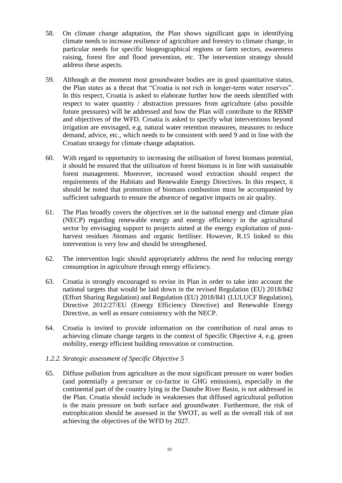- 58. On climate change adaptation, the Plan shows significant gaps in identifying climate needs to increase resilience of agriculture and forestry to climate change, in particular needs for specific biogeographical regions or farm sectors, awareness raising, forest fire and flood prevention, etc. The intervention strategy should address these aspects.
- 59. Although at the moment most groundwater bodies are in good quantitative status, the Plan states as a threat that "Croatia is not rich in longer-term water reserves". In this respect, Croatia is asked to elaborate further how the needs identified with respect to water quantity / abstraction pressures from agriculture (also possible future pressures) will be addressed and how the Plan will contribute to the RBMP and objectives of the WFD. Croatia is asked to specify what interventions beyond irrigation are envisaged, e.g. natural water retention measures, measures to reduce demand, advice, etc., which needs to be consistent with need 9 and in line with the Croatian strategy for climate change adaptation.
- 60. With regard to opportunity to increasing the utilisation of forest biomass potential, it should be ensured that the utilisation of forest biomass is in line with sustainable forest management. Moreover, increased wood extraction should respect the requirements of the Habitats and Renewable Energy Directives. In this respect, it should be noted that promotion of biomass combustion must be accompanied by sufficient safeguards to ensure the absence of negative impacts on air quality.
- 61. The Plan broadly covers the objectives set in the national energy and climate plan (NECP) regarding renewable energy and energy efficiency in the agricultural sector by envisaging support to projects aimed at the energy exploitation of postharvest residues /biomass and organic fertiliser. However, R.15 linked to this intervention is very low and should be strengthened.
- 62. The intervention logic should appropriately address the need for reducing energy consumption in agriculture through energy efficiency.
- 63. Croatia is strongly encouraged to revise its Plan in order to take into account the national targets that would be laid down in the revised Regulation (EU) 2018/842 (Effort Sharing Regulation) and Regulation (EU) 2018/841 (LULUCF Regulation), Directive 2012/27/EU (Energy Efficiency Directive) and Renewable Energy Directive, as well as ensure consistency with the NECP.
- 64. Croatia is invited to provide information on the contribution of rural areas to achieving climate change targets in the context of Specific Objective 4, e.g. green mobility, energy efficient building renovation or construction.
- *1.2.2. Strategic assessment of Specific Objective 5*
- 65. Diffuse pollution from agriculture as the most significant pressure on water bodies (and potentially a precursor or co-factor in GHG emissions), especially in the continental part of the country lying in the Danube River Basin, is not addressed in the Plan. Croatia should include in weaknesses that diffused agricultural pollution is the main pressure on both surface and groundwater. Furthermore, the risk of eutrophication should be assessed in the SWOT, as well as the overall risk of not achieving the objectives of the WFD by 2027.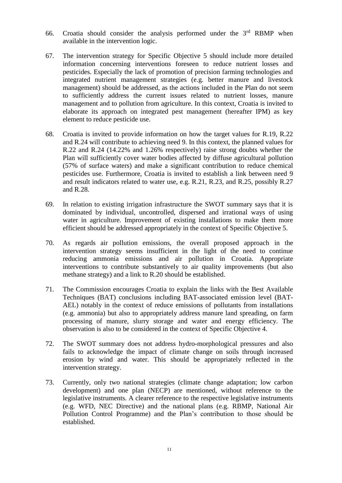- 66. Croatia should consider the analysis performed under the  $3<sup>rd</sup>$  RBMP when available in the intervention logic.
- 67. The intervention strategy for Specific Objective 5 should include more detailed information concerning interventions foreseen to reduce nutrient losses and pesticides. Especially the lack of promotion of precision farming technologies and integrated nutrient management strategies (e.g. better manure and livestock management) should be addressed, as the actions included in the Plan do not seem to sufficiently address the current issues related to nutrient losses, manure management and to pollution from agriculture. In this context, Croatia is invited to elaborate its approach on integrated pest management (hereafter IPM) as key element to reduce pesticide use.
- 68. Croatia is invited to provide information on how the target values for R.19, R.22 and R.24 will contribute to achieving need 9. In this context, the planned values for R.22 and R.24 (14.22% and 1.26% respectively) raise strong doubts whether the Plan will sufficiently cover water bodies affected by diffuse agricultural pollution (57% of surface waters) and make a significant contribution to reduce chemical pesticides use. Furthermore, Croatia is invited to establish a link between need 9 and result indicators related to water use, e.g. R.21, R.23, and R.25, possibly R.27 and R.28.
- 69. In relation to existing irrigation infrastructure the SWOT summary says that it is dominated by individual, uncontrolled, dispersed and irrational ways of using water in agriculture. Improvement of existing installations to make them more efficient should be addressed appropriately in the context of Specific Objective 5.
- 70. As regards air pollution emissions, the overall proposed approach in the intervention strategy seems insufficient in the light of the need to continue reducing ammonia emissions and air pollution in Croatia. Appropriate interventions to contribute substantively to air quality improvements (but also methane strategy) and a link to R.20 should be established.
- 71. The Commission encourages Croatia to explain the links with the Best Available Techniques (BAT) conclusions including BAT-associated emission level (BAT-AEL) notably in the context of reduce emissions of pollutants from installations (e.g. ammonia) but also to appropriately address manure land spreading, on farm processing of manure, slurry storage and water and energy efficiency. The observation is also to be considered in the context of Specific Objective 4.
- 72. The SWOT summary does not address hydro-morphological pressures and also fails to acknowledge the impact of climate change on soils through increased erosion by wind and water. This should be appropriately reflected in the intervention strategy.
- 73. Currently, only two national strategies (climate change adaptation; low carbon development) and one plan (NECP) are mentioned, without reference to the legislative instruments. A clearer reference to the respective legislative instruments (e.g. WFD, NEC Directive) and the national plans (e.g. RBMP, National Air Pollution Control Programme) and the Plan's contribution to those should be established.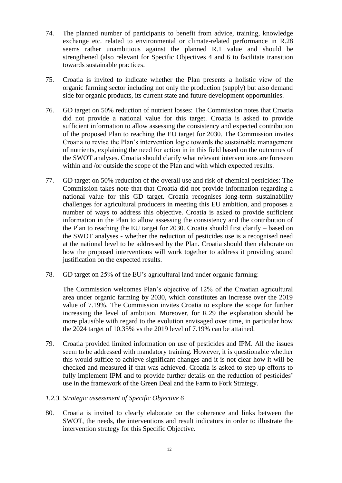- 74. The planned number of participants to benefit from advice, training, knowledge exchange etc. related to environmental or climate-related performance in R.28 seems rather unambitious against the planned R.1 value and should be strengthened (also relevant for Specific Objectives 4 and 6 to facilitate transition towards sustainable practices.
- 75. Croatia is invited to indicate whether the Plan presents a holistic view of the organic farming sector including not only the production (supply) but also demand side for organic products, its current state and future development opportunities.
- 76. GD target on 50% reduction of nutrient losses: The Commission notes that Croatia did not provide a national value for this target. Croatia is asked to provide sufficient information to allow assessing the consistency and expected contribution of the proposed Plan to reaching the EU target for 2030. The Commission invites Croatia to revise the Plan's intervention logic towards the sustainable management of nutrients, explaining the need for action in in this field based on the outcomes of the SWOT analyses. Croatia should clarify what relevant interventions are foreseen within and /or outside the scope of the Plan and with which expected results.
- 77. GD target on 50% reduction of the overall use and risk of chemical pesticides: The Commission takes note that that Croatia did not provide information regarding a national value for this GD target. Croatia recognises long-term sustainability challenges for agricultural producers in meeting this EU ambition, and proposes a number of ways to address this objective. Croatia is asked to provide sufficient information in the Plan to allow assessing the consistency and the contribution of the Plan to reaching the EU target for 2030. Croatia should first clarify – based on the SWOT analyses - whether the reduction of pesticides use is a recognised need at the national level to be addressed by the Plan. Croatia should then elaborate on how the proposed interventions will work together to address it providing sound justification on the expected results.
- 78. GD target on 25% of the EU's agricultural land under organic farming:

The Commission welcomes Plan's objective of 12% of the Croatian agricultural area under organic farming by 2030, which constitutes an increase over the 2019 value of 7.19%. The Commission invites Croatia to explore the scope for further increasing the level of ambition. Moreover, for R.29 the explanation should be more plausible with regard to the evolution envisaged over time, in particular how the 2024 target of 10.35% vs the 2019 level of 7.19% can be attained.

79. Croatia provided limited information on use of pesticides and IPM. All the issues seem to be addressed with mandatory training. However, it is questionable whether this would suffice to achieve significant changes and it is not clear how it will be checked and measured if that was achieved. Croatia is asked to step up efforts to fully implement IPM and to provide further details on the reduction of pesticides' use in the framework of the Green Deal and the Farm to Fork Strategy.

#### *1.2.3. Strategic assessment of Specific Objective 6*

80. Croatia is invited to clearly elaborate on the coherence and links between the SWOT, the needs, the interventions and result indicators in order to illustrate the intervention strategy for this Specific Objective.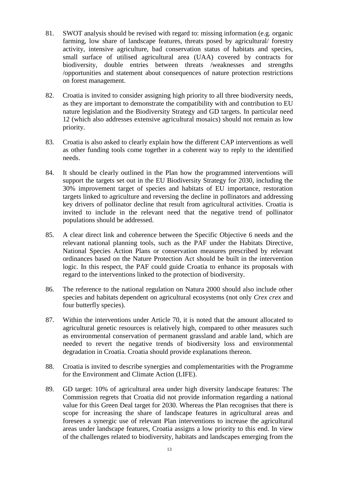- 81. SWOT analysis should be revised with regard to: missing information (e.g. organic farming, low share of landscape features, threats posed by agricultural/ forestry activity, intensive agriculture, bad conservation status of habitats and species, small surface of utilised agricultural area (UAA) covered by contracts for biodiversity, double entries between threats /weaknesses and strengths /opportunities and statement about consequences of nature protection restrictions on forest management.
- 82. Croatia is invited to consider assigning high priority to all three biodiversity needs, as they are important to demonstrate the compatibility with and contribution to EU nature legislation and the Biodiversity Strategy and GD targets. In particular need 12 (which also addresses extensive agricultural mosaics) should not remain as low priority.
- 83. Croatia is also asked to clearly explain how the different CAP interventions as well as other funding tools come together in a coherent way to reply to the identified needs.
- 84. It should be clearly outlined in the Plan how the programmed interventions will support the targets set out in the EU Biodiversity Strategy for 2030, including the 30% improvement target of species and habitats of EU importance, restoration targets linked to agriculture and reversing the decline in pollinators and addressing key drivers of pollinator decline that result from agricultural activities. Croatia is invited to include in the relevant need that the negative trend of pollinator populations should be addressed.
- 85. A clear direct link and coherence between the Specific Objective 6 needs and the relevant national planning tools, such as the PAF under the Habitats Directive, National Species Action Plans or conservation measures prescribed by relevant ordinances based on the Nature Protection Act should be built in the intervention logic. In this respect, the PAF could guide Croatia to enhance its proposals with regard to the interventions linked to the protection of biodiversity.
- 86. The reference to the national regulation on Natura 2000 should also include other species and habitats dependent on agricultural ecosystems (not only *Crex crex* and four butterfly species).
- 87. Within the interventions under Article 70, it is noted that the amount allocated to agricultural genetic resources is relatively high, compared to other measures such as environmental conservation of permanent grassland and arable land, which are needed to revert the negative trends of biodiversity loss and environmental degradation in Croatia. Croatia should provide explanations thereon.
- 88. Croatia is invited to describe synergies and complementarities with the Programme for the Environment and Climate Action (LIFE).
- 89. GD target: 10% of agricultural area under high diversity landscape features: The Commission regrets that Croatia did not provide information regarding a national value for this Green Deal target for 2030. Whereas the Plan recognises that there is scope for increasing the share of landscape features in agricultural areas and foresees a synergic use of relevant Plan interventions to increase the agricultural areas under landscape features, Croatia assigns a low priority to this end. In view of the challenges related to biodiversity, habitats and landscapes emerging from the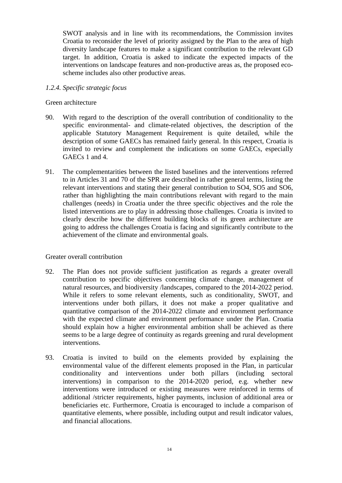SWOT analysis and in line with its recommendations, the Commission invites Croatia to reconsider the level of priority assigned by the Plan to the area of high diversity landscape features to make a significant contribution to the relevant GD target. In addition, Croatia is asked to indicate the expected impacts of the interventions on landscape features and non-productive areas as, the proposed ecoscheme includes also other productive areas.

#### *1.2.4. Specific strategic focus*

#### Green architecture

- 90. With regard to the description of the overall contribution of conditionality to the specific environmental- and climate-related objectives, the description of the applicable Statutory Management Requirement is quite detailed, while the description of some GAECs has remained fairly general. In this respect, Croatia is invited to review and complement the indications on some GAECs, especially GAECs 1 and 4.
- 91. The complementarities between the listed baselines and the interventions referred to in Articles 31 and 70 of the SPR are described in rather general terms, listing the relevant interventions and stating their general contribution to SO4, SO5 and SO6, rather than highlighting the main contributions relevant with regard to the main challenges (needs) in Croatia under the three specific objectives and the role the listed interventions are to play in addressing those challenges. Croatia is invited to clearly describe how the different building blocks of its green architecture are going to address the challenges Croatia is facing and significantly contribute to the achievement of the climate and environmental goals.

## Greater overall contribution

- 92. The Plan does not provide sufficient justification as regards a greater overall contribution to specific objectives concerning climate change, management of natural resources, and biodiversity /landscapes, compared to the 2014-2022 period. While it refers to some relevant elements, such as conditionality, SWOT, and interventions under both pillars, it does not make a proper qualitative and quantitative comparison of the 2014-2022 climate and environment performance with the expected climate and environment performance under the Plan. Croatia should explain how a higher environmental ambition shall be achieved as there seems to be a large degree of continuity as regards greening and rural development interventions.
- 93. Croatia is invited to build on the elements provided by explaining the environmental value of the different elements proposed in the Plan, in particular conditionality and interventions under both pillars (including sectoral interventions) in comparison to the 2014-2020 period, e.g. whether new interventions were introduced or existing measures were reinforced in terms of additional /stricter requirements, higher payments, inclusion of additional area or beneficiaries etc. Furthermore, Croatia is encouraged to include a comparison of quantitative elements, where possible, including output and result indicator values, and financial allocations.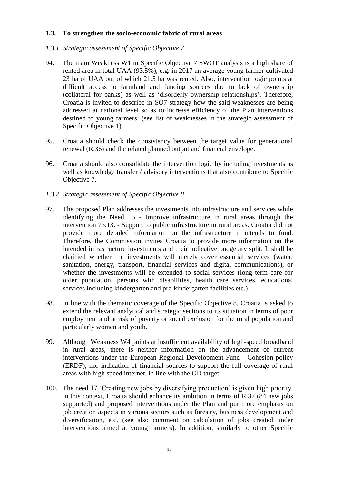#### **1.3. To strengthen the socio-economic fabric of rural areas**

#### *1.3.1. Strategic assessment of Specific Objective 7*

- 94. The main Weakness W1 in Specific Objective 7 SWOT analysis is a high share of rented area in total UAA (93.5%), e.g. in 2017 an average young farmer cultivated 23 ha of UAA out of which 21.5 ha was rented. Also, intervention logic points at difficult access to farmland and funding sources due to lack of ownership (collateral for banks) as well as 'disorderly ownership relationships'. Therefore, Croatia is invited to describe in SO7 strategy how the said weaknesses are being addressed at national level so as to increase efficiency of the Plan interventions destined to young farmers: (see list of weaknesses in the strategic assessment of Specific Objective 1).
- 95. Croatia should check the consistency between the target value for generational renewal (R.36) and the related planned output and financial envelope.
- 96. Croatia should also consolidate the intervention logic by including investments as well as knowledge transfer / advisory interventions that also contribute to Specific Objective 7.
- *1.3.2. Strategic assessment of Specific Objective 8*
- 97. The proposed Plan addresses the investments into infrastructure and services while identifying the Need 15 - Improve infrastructure in rural areas through the intervention 73.13. - Support to public infrastructure in rural areas. Croatia did not provide more detailed information on the infrastructure it intends to fund. Therefore, the Commission invites Croatia to provide more information on the intended infrastructure investments and their indicative budgetary split. It shall be clarified whether the investments will merely cover essential services (water, sanitation, energy, transport, financial services and digital communications), or whether the investments will be extended to social services (long term care for older population, persons with disabilities, health care services, educational services including kindergarten and pre-kindergarten facilities etc.).
- 98. In line with the thematic coverage of the Specific Objective 8, Croatia is asked to extend the relevant analytical and strategic sections to its situation in terms of poor employment and at risk of poverty or social exclusion for the rural population and particularly women and youth.
- 99. Although Weakness W4 points at insufficient availability of high-speed broadband in rural areas, there is neither information on the advancement of current interventions under the European Regional Development Fund - Cohesion policy (ERDF), nor indication of financial sources to support the full coverage of rural areas with high speed internet, in line with the GD target.
- 100. The need 17 'Creating new jobs by diversifying production' is given high priority. In this context, Croatia should enhance its ambition in terms of R.37 (84 new jobs supported) and proposed interventions under the Plan and put more emphasis on job creation aspects in various sectors such as forestry, business development and diversification, etc. (see also comment on calculation of jobs created under interventions aimed at young farmers). In addition, similarly to other Specific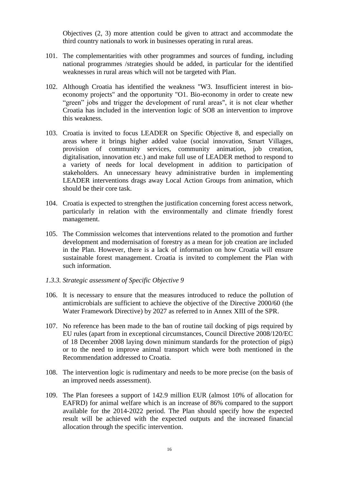Objectives (2, 3) more attention could be given to attract and accommodate the third country nationals to work in businesses operating in rural areas.

- 101. The complementarities with other programmes and sources of funding, including national programmes /strategies should be added, in particular for the identified weaknesses in rural areas which will not be targeted with Plan.
- 102. Although Croatia has identified the weakness "W3. Insufficient interest in bioeconomy projects" and the opportunity "O1. Bio-economy in order to create new "green" jobs and trigger the development of rural areas", it is not clear whether Croatia has included in the intervention logic of SO8 an intervention to improve this weakness.
- 103. Croatia is invited to focus LEADER on Specific Objective 8, and especially on areas where it brings higher added value (social innovation, Smart Villages, provision of community services, community animation, job creation, digitalisation, innovation etc.) and make full use of LEADER method to respond to a variety of needs for local development in addition to participation of stakeholders. An unnecessary heavy administrative burden in implementing LEADER interventions drags away Local Action Groups from animation, which should be their core task.
- 104. Croatia is expected to strengthen the justification concerning forest access network, particularly in relation with the environmentally and climate friendly forest management.
- 105. The Commission welcomes that interventions related to the promotion and further development and modernisation of forestry as a mean for job creation are included in the Plan. However, there is a lack of information on how Croatia will ensure sustainable forest management. Croatia is invited to complement the Plan with such information.
- *1.3.3. Strategic assessment of Specific Objective 9*
- 106. It is necessary to ensure that the measures introduced to reduce the pollution of antimicrobials are sufficient to achieve the objective of the Directive 2000/60 (the Water Framework Directive) by 2027 as referred to in Annex XIII of the SPR.
- 107. No reference has been made to the ban of routine tail docking of pigs required by EU rules (apart from in exceptional circumstances, Council Directive 2008/120/EC of 18 December 2008 laying down minimum standards for the protection of pigs) or to the need to improve animal transport which were both mentioned in the Recommendation addressed to Croatia.
- 108. The intervention logic is rudimentary and needs to be more precise (on the basis of an improved needs assessment).
- 109. The Plan foresees a support of 142.9 million EUR (almost 10% of allocation for EAFRD) for animal welfare which is an increase of 86% compared to the support available for the 2014-2022 period. The Plan should specify how the expected result will be achieved with the expected outputs and the increased financial allocation through the specific intervention.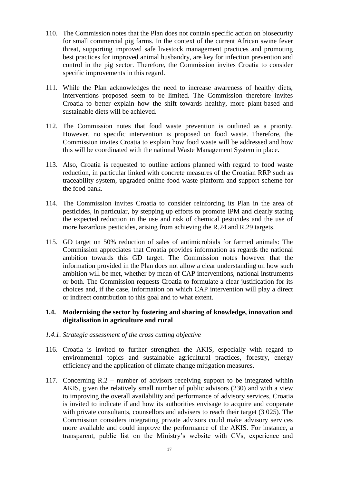- 110. The Commission notes that the Plan does not contain specific action on biosecurity for small commercial pig farms. In the context of the current African swine fever threat, supporting improved safe livestock management practices and promoting best practices for improved animal husbandry, are key for infection prevention and control in the pig sector. Therefore, the Commission invites Croatia to consider specific improvements in this regard.
- 111. While the Plan acknowledges the need to increase awareness of healthy diets, interventions proposed seem to be limited. The Commission therefore invites Croatia to better explain how the shift towards healthy, more plant-based and sustainable diets will be achieved.
- 112. The Commission notes that food waste prevention is outlined as a priority. However, no specific intervention is proposed on food waste. Therefore, the Commission invites Croatia to explain how food waste will be addressed and how this will be coordinated with the national Waste Management System in place.
- 113. Also, Croatia is requested to outline actions planned with regard to food waste reduction, in particular linked with concrete measures of the Croatian RRP such as traceability system, upgraded online food waste platform and support scheme for the food bank.
- 114. The Commission invites Croatia to consider reinforcing its Plan in the area of pesticides, in particular, by stepping up efforts to promote IPM and clearly stating the expected reduction in the use and risk of chemical pesticides and the use of more hazardous pesticides, arising from achieving the R.24 and R.29 targets.
- 115. GD target on 50% reduction of sales of antimicrobials for farmed animals: The Commission appreciates that Croatia provides information as regards the national ambition towards this GD target. The Commission notes however that the information provided in the Plan does not allow a clear understanding on how such ambition will be met, whether by mean of CAP interventions, national instruments or both. The Commission requests Croatia to formulate a clear justification for its choices and, if the case, information on which CAP intervention will play a direct or indirect contribution to this goal and to what extent.

#### **1.4. Modernising the sector by fostering and sharing of knowledge, innovation and digitalisation in agriculture and rural**

- *1.4.1. Strategic assessment of the cross cutting objective*
- 116. Croatia is invited to further strengthen the AKIS, especially with regard to environmental topics and sustainable agricultural practices, forestry, energy efficiency and the application of climate change mitigation measures.
- 117. Concerning R.2 number of advisors receiving support to be integrated within AKIS, given the relatively small number of public advisors (230) and with a view to improving the overall availability and performance of advisory services, Croatia is invited to indicate if and how its authorities envisage to acquire and cooperate with private consultants, counsellors and advisers to reach their target (3 025). The Commission considers integrating private advisors could make advisory services more available and could improve the performance of the AKIS. For instance, a transparent, public list on the Ministry's website with CVs, experience and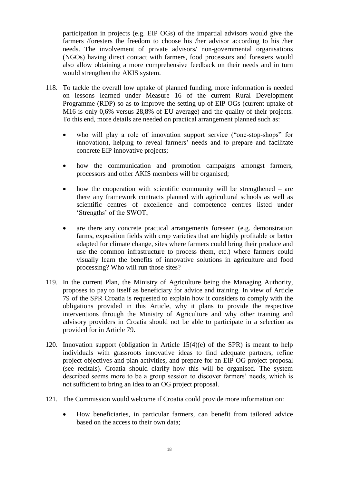participation in projects (e.g. EIP OGs) of the impartial advisors would give the farmers /foresters the freedom to choose his /her advisor according to his /her needs. The involvement of private advisors/ non-governmental organisations (NGOs) having direct contact with farmers, food processors and foresters would also allow obtaining a more comprehensive feedback on their needs and in turn would strengthen the AKIS system.

- 118. To tackle the overall low uptake of planned funding, more information is needed on lessons learned under Measure 16 of the current Rural Development Programme (RDP) so as to improve the setting up of EIP OGs (current uptake of M16 is only 0,6% versus 28,8% of EU average) and the quality of their projects. To this end, more details are needed on practical arrangement planned such as:
	- who will play a role of innovation support service ("one-stop-shops" for innovation), helping to reveal farmers' needs and to prepare and facilitate concrete EIP innovative projects;
	- how the communication and promotion campaigns amongst farmers, processors and other AKIS members will be organised;
	- how the cooperation with scientific community will be strengthened are there any framework contracts planned with agricultural schools as well as scientific centres of excellence and competence centres listed under 'Strengths' of the SWOT;
	- are there any concrete practical arrangements foreseen (e.g. demonstration farms, exposition fields with crop varieties that are highly profitable or better adapted for climate change, sites where farmers could bring their produce and use the common infrastructure to process them, etc.) where farmers could visually learn the benefits of innovative solutions in agriculture and food processing? Who will run those sites?
- 119. In the current Plan, the Ministry of Agriculture being the Managing Authority, proposes to pay to itself as beneficiary for advice and training. In view of Article 79 of the SPR Croatia is requested to explain how it considers to comply with the obligations provided in this Article, why it plans to provide the respective interventions through the Ministry of Agriculture and why other training and advisory providers in Croatia should not be able to participate in a selection as provided for in Article 79.
- 120. Innovation support (obligation in Article 15(4)(e) of the SPR) is meant to help individuals with grassroots innovative ideas to find adequate partners, refine project objectives and plan activities, and prepare for an EIP OG project proposal (see recitals). Croatia should clarify how this will be organised. The system described seems more to be a group session to discover farmers' needs, which is not sufficient to bring an idea to an OG project proposal.
- 121. The Commission would welcome if Croatia could provide more information on:
	- How beneficiaries, in particular farmers, can benefit from tailored advice based on the access to their own data;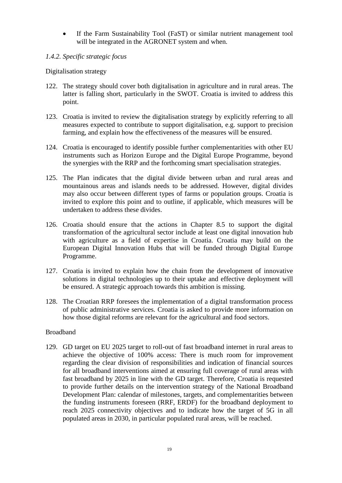If the Farm Sustainability Tool (FaST) or similar nutrient management tool will be integrated in the AGRONET system and when.

## *1.4.2. Specific strategic focus*

Digitalisation strategy

- 122. The strategy should cover both digitalisation in agriculture and in rural areas. The latter is falling short, particularly in the SWOT. Croatia is invited to address this point.
- 123. Croatia is invited to review the digitalisation strategy by explicitly referring to all measures expected to contribute to support digitalisation, e.g. support to precision farming, and explain how the effectiveness of the measures will be ensured.
- 124. Croatia is encouraged to identify possible further complementarities with other EU instruments such as Horizon Europe and the Digital Europe Programme, beyond the synergies with the RRP and the forthcoming smart specialisation strategies.
- 125. The Plan indicates that the digital divide between urban and rural areas and mountainous areas and islands needs to be addressed. However, digital divides may also occur between different types of farms or population groups. Croatia is invited to explore this point and to outline, if applicable, which measures will be undertaken to address these divides.
- 126. Croatia should ensure that the actions in Chapter 8.5 to support the digital transformation of the agricultural sector include at least one digital innovation hub with agriculture as a field of expertise in Croatia. Croatia may build on the European Digital Innovation Hubs that will be funded through Digital Europe Programme.
- 127. Croatia is invited to explain how the chain from the development of innovative solutions in digital technologies up to their uptake and effective deployment will be ensured. A strategic approach towards this ambition is missing.
- 128. The Croatian RRP foresees the implementation of a digital transformation process of public administrative services. Croatia is asked to provide more information on how those digital reforms are relevant for the agricultural and food sectors.

## Broadband

129. GD target on EU 2025 target to roll-out of fast broadband internet in rural areas to achieve the objective of 100% access: There is much room for improvement regarding the clear division of responsibilities and indication of financial sources for all broadband interventions aimed at ensuring full coverage of rural areas with fast broadband by 2025 in line with the GD target. Therefore, Croatia is requested to provide further details on the intervention strategy of the National Broadband Development Plan: calendar of milestones, targets, and complementarities between the funding instruments foreseen (RRF, ERDF) for the broadband deployment to reach 2025 connectivity objectives and to indicate how the target of 5G in all populated areas in 2030, in particular populated rural areas, will be reached.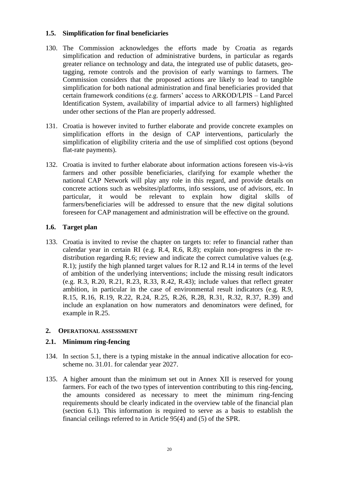#### **1.5. Simplification for final beneficiaries**

- 130. The Commission acknowledges the efforts made by Croatia as regards simplification and reduction of administrative burdens, in particular as regards greater reliance on technology and data, the integrated use of public datasets, geotagging, remote controls and the provision of early warnings to farmers. The Commission considers that the proposed actions are likely to lead to tangible simplification for both national administration and final beneficiaries provided that certain framework conditions (e.g. farmers' access to ARKOD/LPIS – Land Parcel Identification System, availability of impartial advice to all farmers) highlighted under other sections of the Plan are properly addressed.
- 131. Croatia is however invited to further elaborate and provide concrete examples on simplification efforts in the design of CAP interventions, particularly the simplification of eligibility criteria and the use of simplified cost options (beyond flat-rate payments).
- 132. Croatia is invited to further elaborate about information actions foreseen vis-à-vis farmers and other possible beneficiaries, clarifying for example whether the national CAP Network will play any role in this regard, and provide details on concrete actions such as websites/platforms, info sessions, use of advisors, etc. In particular, it would be relevant to explain how digital skills of farmers/beneficiaries will be addressed to ensure that the new digital solutions foreseen for CAP management and administration will be effective on the ground.

#### **1.6. Target plan**

133. Croatia is invited to revise the chapter on targets to: refer to financial rather than calendar year in certain RI (e.g. R.4, R.6, R.8); explain non-progress in the redistribution regarding R.6; review and indicate the correct cumulative values (e.g. R.1); justify the high planned target values for R.12 and R.14 in terms of the level of ambition of the underlying interventions; include the missing result indicators (e.g. R.3, R.20, R.21, R.23, R.33, R.42, R.43); include values that reflect greater ambition, in particular in the case of environmental result indicators (e.g. R.9, R.15, R.16, R.19, R.22, R.24, R.25, R.26, R.28, R.31, R.32, R.37, R.39) and include an explanation on how numerators and denominators were defined, for example in R.25.

## **2. OPERATIONAL ASSESSMENT**

#### **2.1. Minimum ring-fencing**

- 134. In section 5.1, there is a typing mistake in the annual indicative allocation for ecoscheme no. 31.01. for calendar year 2027.
- 135. A higher amount than the minimum set out in Annex XII is reserved for young farmers. For each of the two types of intervention contributing to this ring-fencing, the amounts considered as necessary to meet the minimum ring-fencing requirements should be clearly indicated in the overview table of the financial plan (section 6.1). This information is required to serve as a basis to establish the financial ceilings referred to in Article 95(4) and (5) of the SPR.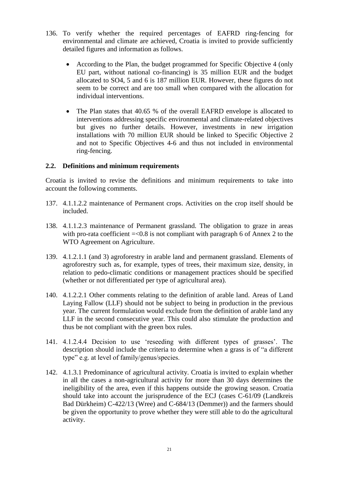- 136. To verify whether the required percentages of EAFRD ring-fencing for environmental and climate are achieved, Croatia is invited to provide sufficiently detailed figures and information as follows.
	- According to the Plan, the budget programmed for Specific Objective 4 (only EU part, without national co-financing) is 35 million EUR and the budget allocated to SO4, 5 and 6 is 187 million EUR. However, these figures do not seem to be correct and are too small when compared with the allocation for individual interventions.
	- The Plan states that 40.65 % of the overall EAFRD envelope is allocated to interventions addressing specific environmental and climate-related objectives but gives no further details. However, investments in new irrigation installations with 70 million EUR should be linked to Specific Objective 2 and not to Specific Objectives 4-6 and thus not included in environmental ring-fencing.

#### **2.2. Definitions and minimum requirements**

Croatia is invited to revise the definitions and minimum requirements to take into account the following comments.

- 137. 4.1.1.2.2 maintenance of Permanent crops. Activities on the crop itself should be included.
- 138. 4.1.1.2.3 maintenance of Permanent grassland. The obligation to graze in areas with pro-rata coefficient  $=<0.8$  is not compliant with paragraph 6 of Annex 2 to the WTO Agreement on Agriculture.
- 139. 4.1.2.1.1 (and 3) agroforestry in arable land and permanent grassland. Elements of agroforestry such as, for example, types of trees, their maximum size, density, in relation to pedo-climatic conditions or management practices should be specified (whether or not differentiated per type of agricultural area).
- 140. 4.1.2.2.1 Other comments relating to the definition of arable land. Areas of Land Laying Fallow (LLF) should not be subject to being in production in the previous year. The current formulation would exclude from the definition of arable land any LLF in the second consecutive year. This could also stimulate the production and thus be not compliant with the green box rules.
- 141. 4.1.2.4.4 Decision to use 'reseeding with different types of grasses'. The description should include the criteria to determine when a grass is of "a different type" e.g. at level of family/genus/species.
- 142. 4.1.3.1 Predominance of agricultural activity. Croatia is invited to explain whether in all the cases a non-agricultural activity for more than 30 days determines the ineligibility of the area, even if this happens outside the growing season. Croatia should take into account the jurisprudence of the ECJ (cases C-61/09 (Landkreis Bad Dürkheim) C-422/13 (Wree) and C-684/13 (Demmer)) and the farmers should be given the opportunity to prove whether they were still able to do the agricultural activity.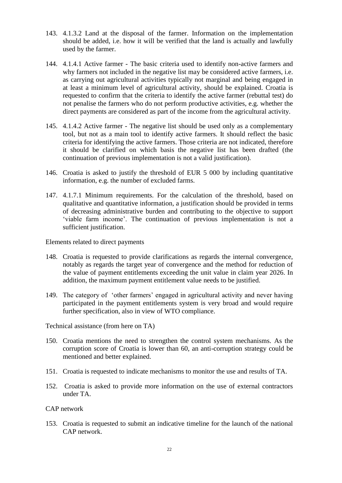- 143. 4.1.3.2 Land at the disposal of the farmer. Information on the implementation should be added, i.e. how it will be verified that the land is actually and lawfully used by the farmer.
- 144. 4.1.4.1 Active farmer The basic criteria used to identify non-active farmers and why farmers not included in the negative list may be considered active farmers, i.e. as carrying out agricultural activities typically not marginal and being engaged in at least a minimum level of agricultural activity, should be explained. Croatia is requested to confirm that the criteria to identify the active farmer (rebuttal test) do not penalise the farmers who do not perform productive activities, e.g. whether the direct payments are considered as part of the income from the agricultural activity.
- 145. 4.1.4.2 Active farmer The negative list should be used only as a complementary tool, but not as a main tool to identify active farmers. It should reflect the basic criteria for identifying the active farmers. Those criteria are not indicated, therefore it should be clarified on which basis the negative list has been drafted (the continuation of previous implementation is not a valid justification).
- 146. Croatia is asked to justify the threshold of EUR 5 000 by including quantitative information, e.g. the number of excluded farms.
- 147. 4.1.7.1 Minimum requirements. For the calculation of the threshold, based on qualitative and quantitative information, a justification should be provided in terms of decreasing administrative burden and contributing to the objective to support 'viable farm income'. The continuation of previous implementation is not a sufficient justification.

Elements related to direct payments

- 148. Croatia is requested to provide clarifications as regards the internal convergence, notably as regards the target year of convergence and the method for reduction of the value of payment entitlements exceeding the unit value in claim year 2026. In addition, the maximum payment entitlement value needs to be justified.
- 149. The category of 'other farmers' engaged in agricultural activity and never having participated in the payment entitlements system is very broad and would require further specification, also in view of WTO compliance.

Technical assistance (from here on TA)

- 150. Croatia mentions the need to strengthen the control system mechanisms. As the corruption score of Croatia is lower than 60, an anti-corruption strategy could be mentioned and better explained.
- 151. Croatia is requested to indicate mechanisms to monitor the use and results of TA.
- 152. Croatia is asked to provide more information on the use of external contractors under TA.

CAP network

153. Croatia is requested to submit an indicative timeline for the launch of the national CAP network.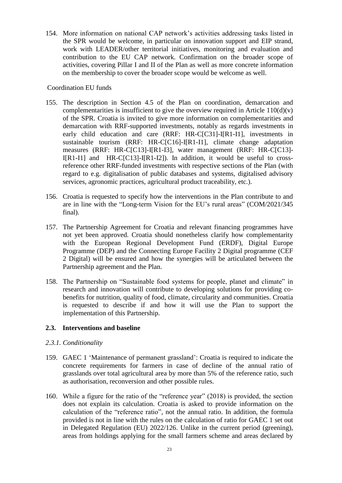154. More information on national CAP network's activities addressing tasks listed in the SPR would be welcome, in particular on innovation support and EIP strand, work with LEADER/other territorial initiatives, monitoring and evaluation and contribution to the EU CAP network. Confirmation on the broader scope of activities, covering Pillar I and II of the Plan as well as more concrete information on the membership to cover the broader scope would be welcome as well.

#### Coordination EU funds

- 155. The description in Section 4.5 of the Plan on coordination, demarcation and complementarities is insufficient to give the overview required in Article  $110(d)(v)$ of the SPR. Croatia is invited to give more information on complementarities and demarcation with RRF-supported investments, notably as regards investments in early child education and care (RRF: HR-C[C31]-I[R1-I1], investments in sustainable tourism (RRF: HR-C[C16]-I[R1-I1], climate change adaptation measures (RRF: HR-C[C13]-I[R1-I3], water management (RRF: HR-C[C13]- I[R1-I1] and HR-C[C13]-I[R1-I2]). In addition, it would be useful to crossreference other RRF-funded investments with respective sections of the Plan (with regard to e.g. digitalisation of public databases and systems, digitalised advisory services, agronomic practices, agricultural product traceability, etc.).
- 156. Croatia is requested to specify how the interventions in the Plan contribute to and are in line with the "Long-term Vision for the EU's rural areas" (COM/2021/345 final).
- 157. The Partnership Agreement for Croatia and relevant financing programmes have not yet been approved. Croatia should nonetheless clarify how complementarity with the European Regional Development Fund (ERDF), Digital Europe Programme (DEP) and the Connecting Europe Facility 2 Digital programme (CEF 2 Digital) will be ensured and how the synergies will be articulated between the Partnership agreement and the Plan.
- 158. The Partnership on "Sustainable food systems for people, planet and climate" in research and innovation will contribute to developing solutions for providing cobenefits for nutrition, quality of food, climate, circularity and communities. Croatia is requested to describe if and how it will use the Plan to support the implementation of this Partnership.

## **2.3. Interventions and baseline**

## *2.3.1. Conditionality*

- 159. GAEC 1 'Maintenance of permanent grassland': Croatia is required to indicate the concrete requirements for farmers in case of decline of the annual ratio of grasslands over total agricultural area by more than 5% of the reference ratio, such as authorisation, reconversion and other possible rules.
- 160. While a figure for the ratio of the "reference year" (2018) is provided, the section does not explain its calculation. Croatia is asked to provide information on the calculation of the "reference ratio", not the annual ratio. In addition, the formula provided is not in line with the rules on the calculation of ratio for GAEC 1 set out in Delegated Regulation (EU) 2022/126. Unlike in the current period (greening), areas from holdings applying for the small farmers scheme and areas declared by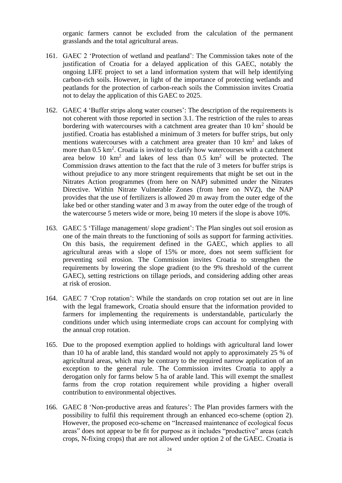organic farmers cannot be excluded from the calculation of the permanent grasslands and the total agricultural areas.

- 161. GAEC 2 'Protection of wetland and peatland': The Commission takes note of the justification of Croatia for a delayed application of this GAEC, notably the ongoing LIFE project to set a land information system that will help identifying carbon-rich soils. However, in light of the importance of protecting wetlands and peatlands for the protection of carbon-reach soils the Commission invites Croatia not to delay the application of this GAEC to 2025.
- 162. GAEC 4 'Buffer strips along water courses': The description of the requirements is not coherent with those reported in section 3.1. The restriction of the rules to areas bordering with watercourses with a catchment area greater than  $10 \text{ km}^2$  should be justified. Croatia has established a minimum of 3 meters for buffer strips, but only mentions watercourses with a catchment area greater than  $10 \text{ km}^2$  and lakes of more than  $0.5 \text{ km}^2$ . Croatia is invited to clarify how watercourses with a catchment area below 10  $km^2$  and lakes of less than 0.5  $km^2$  will be protected. The Commission draws attention to the fact that the rule of 3 meters for buffer strips is without prejudice to any more stringent requirements that might be set out in the Nitrates Action programmes (from here on NAP) submitted under the Nitrates Directive. Within Nitrate Vulnerable Zones (from here on NVZ), the NAP provides that the use of fertilizers is allowed 20 m away from the outer edge of the lake bed or other standing water and 3 m away from the outer edge of the trough of the watercourse 5 meters wide or more, being 10 meters if the slope is above 10%.
- 163. GAEC 5 'Tillage management/ slope gradient': The Plan singles out soil erosion as one of the main threats to the functioning of soils as support for farming activities. On this basis, the requirement defined in the GAEC, which applies to all agricultural areas with a slope of 15% or more, does not seem sufficient for preventing soil erosion. The Commission invites Croatia to strengthen the requirements by lowering the slope gradient (to the 9% threshold of the current GAEC), setting restrictions on tillage periods, and considering adding other areas at risk of erosion.
- 164. GAEC 7 'Crop rotation': While the standards on crop rotation set out are in line with the legal framework, Croatia should ensure that the information provided to farmers for implementing the requirements is understandable, particularly the conditions under which using intermediate crops can account for complying with the annual crop rotation.
- 165. Due to the proposed exemption applied to holdings with agricultural land lower than 10 ha of arable land, this standard would not apply to approximately 25 % of agricultural areas, which may be contrary to the required narrow application of an exception to the general rule. The Commission invites Croatia to apply a derogation only for farms below 5 ha of arable land. This will exempt the smallest farms from the crop rotation requirement while providing a higher overall contribution to environmental objectives.
- 166. GAEC 8 'Non-productive areas and features': The Plan provides farmers with the possibility to fulfil this requirement through an enhanced eco-scheme (option 2). However, the proposed eco-scheme on "Increased maintenance of ecological focus areas" does not appear to be fit for purpose as it includes "productive" areas (catch crops, N-fixing crops) that are not allowed under option 2 of the GAEC. Croatia is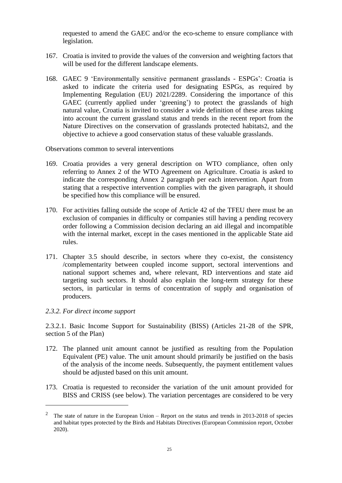requested to amend the GAEC and/or the eco-scheme to ensure compliance with legislation.

- 167. Croatia is invited to provide the values of the conversion and weighting factors that will be used for the different landscape elements.
- 168. GAEC 9 'Environmentally sensitive permanent grasslands ESPGs': Croatia is asked to indicate the criteria used for designating ESPGs, as required by Implementing Regulation (EU) 2021/2289. Considering the importance of this GAEC (currently applied under 'greening') to protect the grasslands of high natural value, Croatia is invited to consider a wide definition of these areas taking into account the current grassland status and trends in the recent report from the Nature Directives on the conservation of grasslands protected habitats2, and the objective to achieve a good conservation status of these valuable grasslands.

Observations common to several interventions

- 169. Croatia provides a very general description on WTO compliance, often only referring to Annex 2 of the WTO Agreement on Agriculture. Croatia is asked to indicate the corresponding Annex 2 paragraph per each intervention. Apart from stating that a respective intervention complies with the given paragraph, it should be specified how this compliance will be ensured.
- 170. For activities falling outside the scope of Article 42 of the TFEU there must be an exclusion of companies in difficulty or companies still having a pending recovery order following a Commission decision declaring an aid illegal and incompatible with the internal market, except in the cases mentioned in the applicable State aid rules.
- 171. Chapter 3.5 should describe, in sectors where they co-exist, the consistency /complementarity between coupled income support, sectoral interventions and national support schemes and, where relevant, RD interventions and state aid targeting such sectors. It should also explain the long-term strategy for these sectors, in particular in terms of concentration of supply and organisation of producers.

#### *2.3.2. For direct income support*

 $\overline{a}$ 

2.3.2.1. Basic Income Support for Sustainability (BISS) (Articles 21-28 of the SPR, section 5 of the Plan)

- 172. The planned unit amount cannot be justified as resulting from the Population Equivalent (PE) value. The unit amount should primarily be justified on the basis of the analysis of the income needs. Subsequently, the payment entitlement values should be adjusted based on this unit amount.
- 173. Croatia is requested to reconsider the variation of the unit amount provided for BISS and CRISS (see below). The variation percentages are considered to be very

<sup>&</sup>lt;sup>2</sup> The state of nature in the European Union – Report on the status and trends in [2013-2018](https://eur-lex.europa.eu/legal-content/EN/TXT/?uri=COM:2020:635:FIN) of species and habitat types protected by the Birds and Habitats Directives (European [Commission](https://eur-lex.europa.eu/legal-content/EN/TXT/?uri=COM:2020:635:FIN) report, October [2020\).](https://eur-lex.europa.eu/legal-content/EN/TXT/?uri=COM:2020:635:FIN)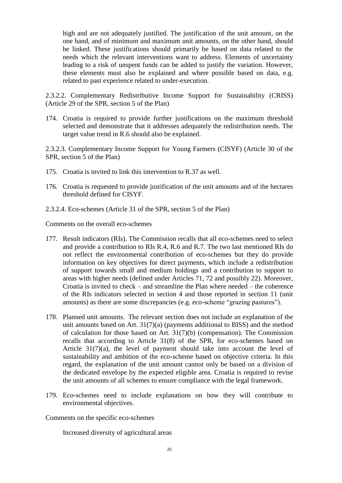high and are not adequately justified. The justification of the unit amount, on the one hand, and of minimum and maximum unit amounts, on the other hand, should be linked. These justifications should primarily be based on data related to the needs which the relevant interventions want to address. Elements of uncertainty leading to a risk of unspent funds can be added to justify the variation. However, these elements must also be explained and where possible based on data, e.g. related to past experience related to under-execution.

2.3.2.2. Complementary Redistributive Income Support for Sustainability (CRISS) (Article 29 of the SPR, section 5 of the Plan)

174. Croatia is required to provide further justifications on the maximum threshold selected and demonstrate that it addresses adequately the redistribution needs. The target value trend in R.6 should also be explained.

2.3.2.3. Complementary Income Support for Young Farmers (CISYF) (Article 30 of the SPR, section 5 of the Plan)

- 175. Croatia is invited to link this intervention to R.37 as well.
- 176. Croatia is requested to provide justification of the unit amounts and of the hectares threshold defined for CISYF.
- 2.3.2.4. Eco-schemes (Article 31 of the SPR, section 5 of the Plan)

Comments on the overall eco-schemes

- 177. Result indicators (RIs). The Commission recalls that all eco-schemes need to select and provide a contribution to RIs R.4, R.6 and R.7. The two last mentioned RIs do not reflect the environmental contribution of eco-schemes but they do provide information on key objectives for direct payments, which include a redistribution of support towards small and medium holdings and a contribution to support to areas with higher needs (defined under Articles 71, 72 and possibly 22). Moreover, Croatia is invited to check – and streamline the Plan where needed – the coherence of the RIs indicators selected in section 4 and those reported in section 11 (unit amounts) as there are some discrepancies (e.g. eco-scheme "grazing pastures").
- 178. Planned unit amounts.  The relevant section does not include an explanation of the unit amounts based on Art. 31(7)(a) (payments additional to BISS) and the method of calculation for those based on Art. 31(7)(b) (compensation). The Commission recalls that according to Article 31(8) of the SPR, for eco-schemes based on Article 31(7)(a), the level of payment should take into account the level of sustainability and ambition of the eco-scheme based on objective criteria. In this regard, the explanation of the unit amount cannot only be based on a division of the dedicated envelope by the expected eligible area. Croatia is required to revise the unit amounts of all schemes to ensure compliance with the legal framework.
- 179. Eco-schemes need to include explanations on how they will contribute to environmental objectives.

Comments on the specific eco-schemes

Increased diversity of agricultural areas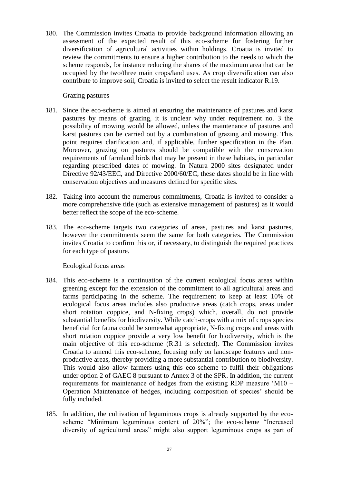180. The Commission invites Croatia to provide background information allowing an assessment of the expected result of this eco-scheme for fostering further diversification of agricultural activities within holdings. Croatia is invited to review the commitments to ensure a higher contribution to the needs to which the scheme responds, for instance reducing the shares of the maximum area that can be occupied by the two/three main crops/land uses. As crop diversification can also contribute to improve soil, Croatia is invited to select the result indicator R.19.

#### Grazing pastures

- 181. Since the eco-scheme is aimed at ensuring the maintenance of pastures and karst pastures by means of grazing, it is unclear why under requirement no. 3 the possibility of mowing would be allowed, unless the maintenance of pastures and karst pastures can be carried out by a combination of grazing and mowing. This point requires clarification and, if applicable, further specification in the Plan. Moreover, grazing on pastures should be compatible with the conservation requirements of farmland birds that may be present in these habitats, in particular regarding prescribed dates of mowing. In Natura 2000 sites designated under Directive 92/43/EEC, and Directive 2000/60/EC, these dates should be in line with conservation objectives and measures defined for specific sites.
- 182. Taking into account the numerous commitments, Croatia is invited to consider a more comprehensive title (such as extensive management of pastures) as it would better reflect the scope of the eco-scheme.
- 183. The eco-scheme targets two categories of areas, pastures and karst pastures, however the commitments seem the same for both categories. The Commission invites Croatia to confirm this or, if necessary, to distinguish the required practices for each type of pasture.

Ecological focus areas

- 184. This eco-scheme is a continuation of the current ecological focus areas within greening except for the extension of the commitment to all agricultural areas and farms participating in the scheme. The requirement to keep at least 10% of ecological focus areas includes also productive areas (catch crops, areas under short rotation coppice, and N-fixing crops) which, overall, do not provide substantial benefits for biodiversity. While catch-crops with a mix of crops species beneficial for fauna could be somewhat appropriate, N-fixing crops and areas with short rotation coppice provide a very low benefit for biodiversity, which is the main objective of this eco-scheme (R.31 is selected). The Commission invites Croatia to amend this eco-scheme, focusing only on landscape features and nonproductive areas, thereby providing a more substantial contribution to biodiversity. This would also allow farmers using this eco-scheme to fulfil their obligations under option 2 of GAEC 8 pursuant to Annex 3 of the SPR. In addition, the current requirements for maintenance of hedges from the existing RDP measure 'M10 – Operation Maintenance of hedges, including composition of species' should be fully included.
- 185. In addition, the cultivation of leguminous crops is already supported by the ecoscheme "Minimum leguminous content of 20%"; the eco-scheme "Increased diversity of agricultural areas" might also support leguminous crops as part of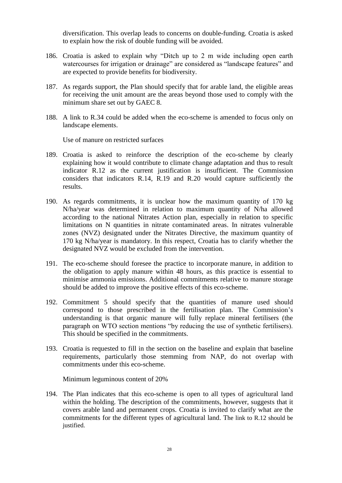diversification. This overlap leads to concerns on double-funding. Croatia is asked to explain how the risk of double funding will be avoided.

- 186. Croatia is asked to explain why "Ditch up to 2 m wide including open earth watercourses for irrigation or drainage" are considered as "landscape features" and are expected to provide benefits for biodiversity.
- 187. As regards support, the Plan should specify that for arable land, the eligible areas for receiving the unit amount are the areas beyond those used to comply with the minimum share set out by GAEC 8.
- 188. A link to R.34 could be added when the eco-scheme is amended to focus only on landscape elements.

Use of manure on restricted surfaces

- 189. Croatia is asked to reinforce the description of the eco-scheme by clearly explaining how it would contribute to climate change adaptation and thus to result indicator R.12 as the current justification is insufficient. The Commission considers that indicators R.14, R.19 and R.20 would capture sufficiently the results.
- 190. As regards commitments, it is unclear how the maximum quantity of 170 kg N/ha/year was determined in relation to maximum quantity of N/ha allowed according to the national Nitrates Action plan, especially in relation to specific limitations on N quantities in nitrate contaminated areas. In nitrates vulnerable zones (NVZ) designated under the Nitrates Directive, the maximum quantity of 170 kg N/ha/year is mandatory. In this respect, Croatia has to clarify whether the designated NVZ would be excluded from the intervention.
- 191. The eco-scheme should foresee the practice to incorporate manure, in addition to the obligation to apply manure within 48 hours, as this practice is essential to minimise ammonia emissions. Additional commitments relative to manure storage should be added to improve the positive effects of this eco-scheme.
- 192. Commitment 5 should specify that the quantities of manure used should correspond to those prescribed in the fertilisation plan. The Commission's understanding is that organic manure will fully replace mineral fertilisers (the paragraph on WTO section mentions "by reducing the use of synthetic fertilisers). This should be specified in the commitments.
- 193. Croatia is requested to fill in the section on the baseline and explain that baseline requirements, particularly those stemming from NAP, do not overlap with commitments under this eco-scheme.

Minimum leguminous content of 20%

194. The Plan indicates that this eco-scheme is open to all types of agricultural land within the holding. The description of the commitments, however, suggests that it covers arable land and permanent crops. Croatia is invited to clarify what are the commitments for the different types of agricultural land. The link to R.12 should be justified.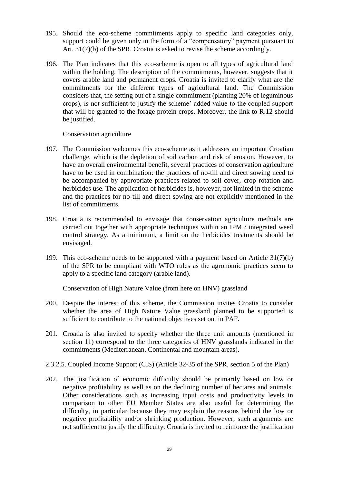- 195. Should the eco-scheme commitments apply to specific land categories only, support could be given only in the form of a "compensatory" payment pursuant to Art. 31(7)(b) of the SPR. Croatia is asked to revise the scheme accordingly.
- 196. The Plan indicates that this eco-scheme is open to all types of agricultural land within the holding. The description of the commitments, however, suggests that it covers arable land and permanent crops. Croatia is invited to clarify what are the commitments for the different types of agricultural land. The Commission considers that, the setting out of a single commitment (planting 20% of leguminous crops), is not sufficient to justify the scheme' added value to the coupled support that will be granted to the forage protein crops. Moreover, the link to R.12 should be justified.

Conservation agriculture

- 197. The Commission welcomes this eco-scheme as it addresses an important Croatian challenge, which is the depletion of soil carbon and risk of erosion. However, to have an overall environmental benefit, several practices of conservation agriculture have to be used in combination: the practices of no-till and direct sowing need to be accompanied by appropriate practices related to soil cover, crop rotation and herbicides use. The application of herbicides is, however, not limited in the scheme and the practices for no-till and direct sowing are not explicitly mentioned in the list of commitments.
- 198. Croatia is recommended to envisage that conservation agriculture methods are carried out together with appropriate techniques within an IPM / integrated weed control strategy. As a minimum, a limit on the herbicides treatments should be envisaged.
- 199. This eco-scheme needs to be supported with a payment based on Article 31(7)(b) of the SPR to be compliant with WTO rules as the agronomic practices seem to apply to a specific land category (arable land).

Conservation of High Nature Value (from here on HNV) grassland

- 200. Despite the interest of this scheme, the Commission invites Croatia to consider whether the area of High Nature Value grassland planned to be supported is sufficient to contribute to the national objectives set out in PAF.
- 201. Croatia is also invited to specify whether the three unit amounts (mentioned in section 11) correspond to the three categories of HNV grasslands indicated in the commitments (Mediterranean, Continental and mountain areas).
- 2.3.2.5. Coupled Income Support (CIS) (Article 32-35 of the SPR, section 5 of the Plan)
- 202. The justification of economic difficulty should be primarily based on low or negative profitability as well as on the declining number of hectares and animals. Other considerations such as increasing input costs and productivity levels in comparison to other EU Member States are also useful for determining the difficulty, in particular because they may explain the reasons behind the low or negative profitability and/or shrinking production. However, such arguments are not sufficient to justify the difficulty. Croatia is invited to reinforce the justification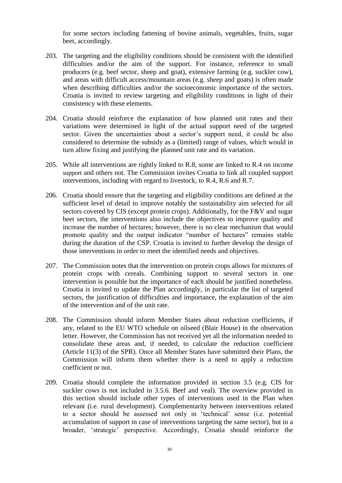for some sectors including fattening of bovine animals, vegetables, fruits, sugar beet, accordingly.

- 203. The targeting and the eligibility conditions should be consistent with the identified difficulties and/or the aim of the support. For instance, reference to small producers (e.g. beef sector, sheep and goat), extensive farming (e.g. suckler cow), and areas with difficult access/mountain areas (e.g. sheep and goats) is often made when describing difficulties and/or the socioeconomic importance of the sectors. Croatia is invited to review targeting and eligibility conditions in light of their consistency with these elements.
- 204. Croatia should reinforce the explanation of how planned unit rates and their variations were determined in light of the actual support need of the targeted sector. Given the uncertainties about a sector's support need, it could be also considered to determine the subsidy as a (limited) range of values, which would in turn allow fixing and justifying the planned unit rate and its variation.
- 205. While all interventions are rightly linked to R.8, some are linked to R.4 on income support and others not. The Commission invites Croatia to link all coupled support interventions, including with regard to livestock, to R.4, R.6 and R.7.
- 206. Croatia should ensure that the targeting and eligibility conditions are defined at the sufficient level of detail to improve notably the sustainability aim selected for all sectors covered by CIS (except protein crops). Additionally, for the F&V and sugar beet sectors, the interventions also include the objectives to improve quality and increase the number of hectares; however, there is no clear mechanism that would promote quality and the output indicator "number of hectares" remains stable during the duration of the CSP. Croatia is invited to further develop the design of those interventions in order to meet the identified needs and objectives.
- 207. The Commission notes that the intervention on protein crops allows for mixtures of protein crops with cereals. Combining support to several sectors in one intervention is possible but the importance of each should be justified nonetheless. Croatia is invited to update the Plan accordingly, in particular the list of targeted sectors, the justification of difficulties and importance, the explanation of the aim of the intervention and of the unit rate.
- 208. The Commission should inform Member States about reduction coefficients, if any, related to the EU WTO schedule on oilseed (Blair House) in the observation letter. However, the Commission has not received yet all the information needed to consolidate these areas and, if needed, to calculate the reduction coefficient (Article 11(3) of the SPR). Once all Member States have submitted their Plans, the Commission will inform them whether there is a need to apply a reduction coefficient or not.
- 209. Croatia should complete the information provided in section 3.5 (e.g. CIS for suckler cows is not included in 3.5.6. Beef and veal). The overview provided in this section should include other types of interventions used in the Plan when relevant (i.e. rural development). Complementarity between interventions related to a sector should be assessed not only in 'technical' sense (i.e. potential accumulation of support in case of interventions targeting the same sector), but in a broader, 'strategic' perspective. Accordingly, Croatia should reinforce the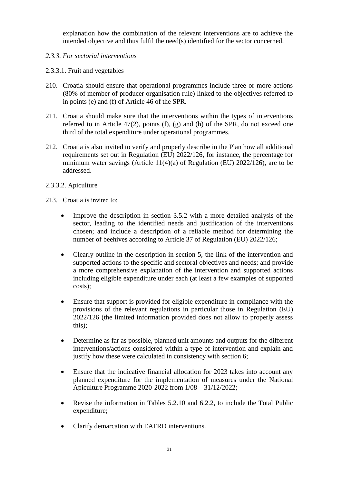explanation how the combination of the relevant interventions are to achieve the intended objective and thus fulfil the need(s) identified for the sector concerned.

- *2.3.3. For sectorial interventions*
- 2.3.3.1. Fruit and vegetables
- 210. Croatia should ensure that operational programmes include three or more actions (80% of member of producer organisation rule) linked to the objectives referred to in points (e) and (f) of Article 46 of the SPR.
- 211. Croatia should make sure that the interventions within the types of interventions referred to in Article  $47(2)$ , points (f), (g) and (h) of the SPR, do not exceed one third of the total expenditure under operational programmes.
- 212. Croatia is also invited to verify and properly describe in the Plan how all additional requirements set out in Regulation (EU) 2022/126, for instance, the percentage for minimum water savings (Article 11(4)(a) of Regulation (EU) 2022/126), are to be addressed.
- 2.3.3.2. Apiculture
- 213. Croatia is invited to:
	- Improve the description in section 3.5.2 with a more detailed analysis of the sector, leading to the identified needs and justification of the interventions chosen; and include a description of a reliable method for determining the number of beehives according to Article 37 of Regulation (EU) 2022/126;
	- Clearly outline in the description in section 5, the link of the intervention and supported actions to the specific and sectoral objectives and needs; and provide a more comprehensive explanation of the intervention and supported actions including eligible expenditure under each (at least a few examples of supported costs);
	- Ensure that support is provided for eligible expenditure in compliance with the provisions of the relevant regulations in particular those in Regulation (EU) 2022/126 (the limited information provided does not allow to properly assess this);
	- Determine as far as possible, planned unit amounts and outputs for the different interventions/actions considered within a type of intervention and explain and justify how these were calculated in consistency with section 6;
	- Ensure that the indicative financial allocation for 2023 takes into account any planned expenditure for the implementation of measures under the National Apiculture Programme 2020-2022 from 1/08 – 31/12/2022;
	- Revise the information in Tables 5.2.10 and 6.2.2, to include the Total Public expenditure;
	- Clarify demarcation with EAFRD interventions.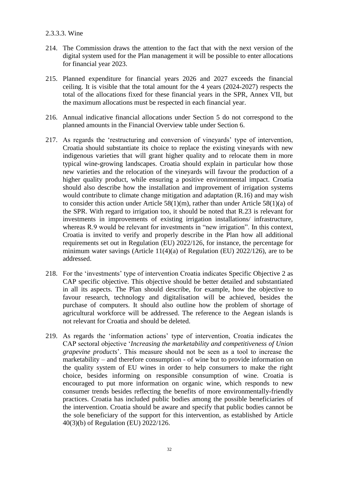#### 2.3.3.3. Wine

- 214. The Commission draws the attention to the fact that with the next version of the digital system used for the Plan management it will be possible to enter allocations for financial year 2023.
- 215. Planned expenditure for financial years 2026 and 2027 exceeds the financial ceiling. It is visible that the total amount for the 4 years (2024-2027) respects the total of the allocations fixed for these financial years in the SPR, Annex VII, but the maximum allocations must be respected in each financial year.
- 216. Annual indicative financial allocations under Section 5 do not correspond to the planned amounts in the Financial Overview table under Section 6.
- 217. As regards the 'restructuring and conversion of vineyards' type of intervention, Croatia should substantiate its choice to replace the existing vineyards with new indigenous varieties that will grant higher quality and to relocate them in more typical wine-growing landscapes. Croatia should explain in particular how those new varieties and the relocation of the vineyards will favour the production of a higher quality product, while ensuring a positive environmental impact. Croatia should also describe how the installation and improvement of irrigation systems would contribute to climate change mitigation and adaptation (R.16) and may wish to consider this action under Article 58(1)(m), rather than under Article 58(1)(a) of the SPR. With regard to irrigation too, it should be noted that R.23 is relevant for investments in improvements of existing irrigation installations/ infrastructure, whereas R.9 would be relevant for investments in "new irrigation". In this context, Croatia is invited to verify and properly describe in the Plan how all additional requirements set out in Regulation (EU) 2022/126, for instance, the percentage for minimum water savings (Article 11(4)(a) of Regulation (EU) 2022/126), are to be addressed.
- 218. For the 'investments' type of intervention Croatia indicates Specific Objective 2 as CAP specific objective. This objective should be better detailed and substantiated in all its aspects. The Plan should describe, for example, how the objective to favour research, technology and digitalisation will be achieved, besides the purchase of computers. It should also outline how the problem of shortage of agricultural workforce will be addressed. The reference to the Aegean islands is not relevant for Croatia and should be deleted.
- 219. As regards the 'information actions' type of intervention, Croatia indicates the CAP sectoral objective '*Increasing the marketability and competitiveness of Union grapevine products*'. This measure should not be seen as a tool to increase the marketability – and therefore consumption - of wine but to provide information on the quality system of EU wines in order to help consumers to make the right choice, besides informing on responsible consumption of wine. Croatia is encouraged to put more information on organic wine, which responds to new consumer trends besides reflecting the benefits of more environmentally-friendly practices. Croatia has included public bodies among the possible beneficiaries of the intervention. Croatia should be aware and specify that public bodies cannot be the sole beneficiary of the support for this intervention, as established by Article 40(3)(b) of Regulation (EU) 2022/126.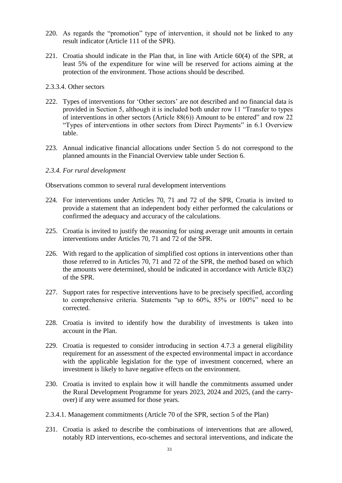- 220. As regards the "promotion" type of intervention, it should not be linked to any result indicator (Article 111 of the SPR).
- 221. Croatia should indicate in the Plan that, in line with Article 60(4) of the SPR, at least 5% of the expenditure for wine will be reserved for actions aiming at the protection of the environment. Those actions should be described.
- 2.3.3.4. Other sectors
- 222. Types of interventions for 'Other sectors' are not described and no financial data is provided in Section 5, although it is included both under row 11 "Transfer to types of interventions in other sectors (Article 88(6)) Amount to be entered" and row 22 "Types of interventions in other sectors from Direct Payments" in 6.1 Overview table.
- 223. Annual indicative financial allocations under Section 5 do not correspond to the planned amounts in the Financial Overview table under Section 6.

#### *2.3.4. For rural development*

Observations common to several rural development interventions

- 224. For interventions under Articles 70, 71 and 72 of the SPR, Croatia is invited to provide a statement that an independent body either performed the calculations or confirmed the adequacy and accuracy of the calculations.
- 225. Croatia is invited to justify the reasoning for using average unit amounts in certain interventions under Articles 70, 71 and 72 of the SPR.
- 226. With regard to the application of simplified cost options in interventions other than those referred to in Articles 70, 71 and 72 of the SPR, the method based on which the amounts were determined, should be indicated in accordance with Article 83(2) of the SPR.
- 227. Support rates for respective interventions have to be precisely specified, according to comprehensive criteria. Statements "up to 60%, 85% or 100%" need to be corrected.
- 228. Croatia is invited to identify how the durability of investments is taken into account in the Plan.
- 229. Croatia is requested to consider introducing in section 4.7.3 a general eligibility requirement for an assessment of the expected environmental impact in accordance with the applicable legislation for the type of investment concerned, where an investment is likely to have negative effects on the environment.
- 230. Croatia is invited to explain how it will handle the commitments assumed under the Rural Development Programme for years 2023, 2024 and 2025, (and the carryover) if any were assumed for those years.
- 2.3.4.1. Management commitments (Article 70 of the SPR, section 5 of the Plan)
- 231. Croatia is asked to describe the combinations of interventions that are allowed, notably RD interventions, eco-schemes and sectoral interventions, and indicate the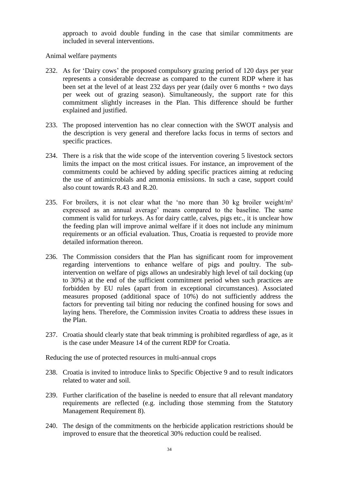approach to avoid double funding in the case that similar commitments are included in several interventions.

Animal welfare payments

- 232. As for 'Dairy cows' the proposed compulsory grazing period of 120 days per year represents a considerable decrease as compared to the current RDP where it has been set at the level of at least 232 days per year (daily over 6 months + two days per week out of grazing season). Simultaneously, the support rate for this commitment slightly increases in the Plan. This difference should be further explained and justified.
- 233. The proposed intervention has no clear connection with the SWOT analysis and the description is very general and therefore lacks focus in terms of sectors and specific practices.
- 234. There is a risk that the wide scope of the intervention covering 5 livestock sectors limits the impact on the most critical issues. For instance, an improvement of the commitments could be achieved by adding specific practices aiming at reducing the use of antimicrobials and ammonia emissions. In such a case, support could also count towards R.43 and R.20.
- 235. For broilers, it is not clear what the 'no more than 30 kg broiler weight/m² expressed as an annual average' means compared to the baseline. The same comment is valid for turkeys. As for dairy cattle, calves, pigs etc., it is unclear how the feeding plan will improve animal welfare if it does not include any minimum requirements or an official evaluation. Thus, Croatia is requested to provide more detailed information thereon.
- 236. The Commission considers that the Plan has significant room for improvement regarding interventions to enhance welfare of pigs and poultry. The subintervention on welfare of pigs allows an undesirably high level of tail docking (up to 30%) at the end of the sufficient commitment period when such practices are forbidden by EU rules (apart from in exceptional circumstances). Associated measures proposed (additional space of 10%) do not sufficiently address the factors for preventing tail biting nor reducing the confined housing for sows and laying hens. Therefore, the Commission invites Croatia to address these issues in the Plan.
- 237. Croatia should clearly state that beak trimming is prohibited regardless of age, as it is the case under Measure 14 of the current RDP for Croatia.

Reducing the use of protected resources in multi-annual crops

- 238. Croatia is invited to introduce links to Specific Objective 9 and to result indicators related to water and soil.
- 239. Further clarification of the baseline is needed to ensure that all relevant mandatory requirements are reflected (e.g. including those stemming from the Statutory Management Requirement 8).
- 240. The design of the commitments on the herbicide application restrictions should be improved to ensure that the theoretical 30% reduction could be realised.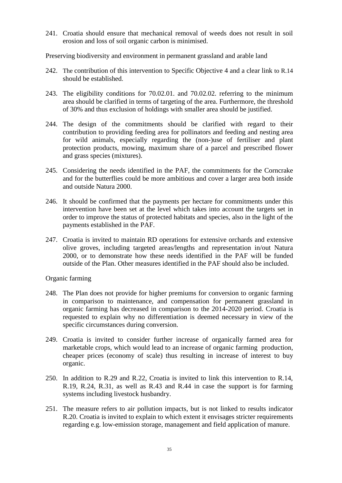241. Croatia should ensure that mechanical removal of weeds does not result in soil erosion and loss of soil organic carbon is minimised.

Preserving biodiversity and environment in permanent grassland and arable land

- 242. The contribution of this intervention to Specific Objective 4 and a clear link to R.14 should be established.
- 243. The eligibility conditions for 70.02.01. and 70.02.02. referring to the minimum area should be clarified in terms of targeting of the area. Furthermore, the threshold of 30% and thus exclusion of holdings with smaller area should be justified.
- 244. The design of the commitments should be clarified with regard to their contribution to providing feeding area for pollinators and feeding and nesting area for wild animals, especially regarding the (non-)use of fertiliser and plant protection products, mowing, maximum share of a parcel and prescribed flower and grass species (mixtures).
- 245. Considering the needs identified in the PAF, the commitments for the Corncrake and for the butterflies could be more ambitious and cover a larger area both inside and outside Natura 2000.
- 246. It should be confirmed that the payments per hectare for commitments under this intervention have been set at the level which takes into account the targets set in order to improve the status of protected habitats and species, also in the light of the payments established in the PAF.
- 247. Croatia is invited to maintain RD operations for extensive orchards and extensive olive groves, including targeted areas/lengths and representation in/out Natura 2000, or to demonstrate how these needs identified in the PAF will be funded outside of the Plan. Other measures identified in the PAF should also be included.

## Organic farming

- 248. The Plan does not provide for higher premiums for conversion to organic farming in comparison to maintenance, and compensation for permanent grassland in organic farming has decreased in comparison to the 2014-2020 period. Croatia is requested to explain why no differentiation is deemed necessary in view of the specific circumstances during conversion.
- 249. Croatia is invited to consider further increase of organically farmed area for marketable crops, which would lead to an increase of organic farming production, cheaper prices (economy of scale) thus resulting in increase of interest to buy organic.
- 250. In addition to R.29 and R.22, Croatia is invited to link this intervention to R.14, R.19, R.24, R.31, as well as R.43 and R.44 in case the support is for farming systems including livestock husbandry.
- 251. The measure refers to air pollution impacts, but is not linked to results indicator R.20. Croatia is invited to explain to which extent it envisages stricter requirements regarding e.g. low-emission storage, management and field application of manure.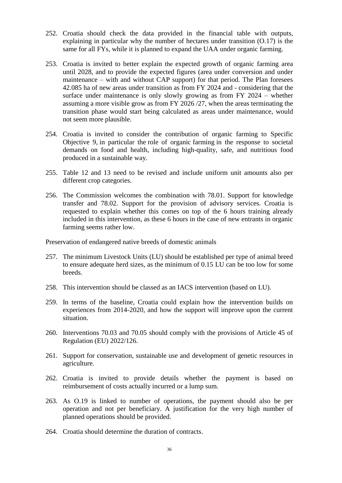- 252. Croatia should check the data provided in the financial table with outputs, explaining in particular why the number of hectares under transition (O.17) is the same for all FYs, while it is planned to expand the UAA under organic farming.
- 253. Croatia is invited to better explain the expected growth of organic farming area until 2028, and to provide the expected figures (area under conversion and under maintenance – with and without CAP support) for that period. The Plan foresees 42.085 ha of new areas under transition as from FY 2024 and - considering that the surface under maintenance is only slowly growing as from FY 2024 – whether assuming a more visible grow as from FY 2026 /27, when the areas terminating the transition phase would start being calculated as areas under maintenance, would not seem more plausible.
- 254. Croatia is invited to consider the contribution of organic farming to Specific Objective 9, in particular the role of organic farming in the response to societal demands on food and health, including high-quality, safe, and nutritious food produced in a sustainable way.
- 255. Table 12 and 13 need to be revised and include uniform unit amounts also per different crop categories.
- 256. The Commission welcomes the combination with 78.01. Support for knowledge transfer and 78.02. Support for the provision of advisory services. Croatia is requested to explain whether this comes on top of the 6 hours training already included in this intervention, as these 6 hours in the case of new entrants in organic farming seems rather low.

Preservation of endangered native breeds of domestic animals

- 257. The minimum Livestock Units (LU) should be established per type of animal breed to ensure adequate herd sizes, as the minimum of 0.15 LU can be too low for some breeds.
- 258. This intervention should be classed as an IACS intervention (based on LU).
- 259. In terms of the baseline, Croatia could explain how the intervention builds on experiences from 2014-2020, and how the support will improve upon the current situation.
- 260. Interventions 70.03 and 70.05 should comply with the provisions of Article 45 of Regulation (EU) 2022/126.
- 261. Support for conservation, sustainable use and development of genetic resources in agriculture.
- 262. Croatia is invited to provide details whether the payment is based on reimbursement of costs actually incurred or a lump sum.
- 263. As O.19 is linked to number of operations, the payment should also be per operation and not per beneficiary. A justification for the very high number of planned operations should be provided.
- 264. Croatia should determine the duration of contracts.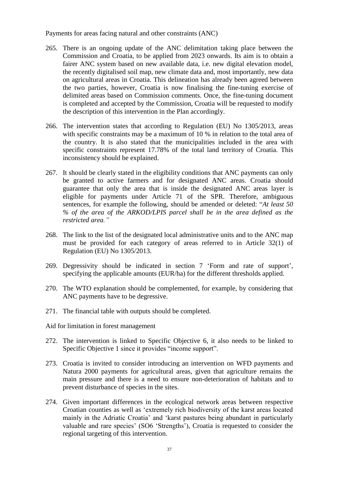Payments for areas facing natural and other constraints (ANC)

- 265. There is an ongoing update of the ANC delimitation taking place between the Commission and Croatia, to be applied from 2023 onwards. Its aim is to obtain a fairer ANC system based on new available data, i.e. new digital elevation model, the recently digitalised soil map, new climate data and, most importantly, new data on agricultural areas in Croatia. This delineation has already been agreed between the two parties, however, Croatia is now finalising the fine-tuning exercise of delimited areas based on Commission comments. Once, the fine-tuning document is completed and accepted by the Commission, Croatia will be requested to modify the description of this intervention in the Plan accordingly.
- 266. The intervention states that according to Regulation (EU) No 1305/2013, areas with specific constraints may be a maximum of 10 % in relation to the total area of the country. It is also stated that the municipalities included in the area with specific constraints represent 17.78% of the total land territory of Croatia. This inconsistency should be explained.
- 267. It should be clearly stated in the eligibility conditions that ANC payments can only be granted to active farmers and for designated ANC areas. Croatia should guarantee that only the area that is inside the designated ANC areas layer is eligible for payments under Article 71 of the SPR. Therefore, ambiguous sentences, for example the following, should be amended or deleted: "*At least 50 % of the area of the ARKOD/LPIS parcel shall be in the area defined as the restricted area."*
- 268. The link to the list of the designated local administrative units and to the ANC map must be provided for each category of areas referred to in Article 32(1) of Regulation (EU) No 1305/2013.
- 269. Degressivity should be indicated in section 7 'Form and rate of support', specifying the applicable amounts (EUR/ha) for the different thresholds applied.
- 270. The WTO explanation should be complemented, for example, by considering that ANC payments have to be degressive.
- 271. The financial table with outputs should be completed.
- Aid for limitation in forest management
- 272. The intervention is linked to Specific Objective 6, it also needs to be linked to Specific Objective 1 since it provides "income support".
- 273. Croatia is invited to consider introducing an intervention on WFD payments and Natura 2000 payments for agricultural areas, given that agriculture remains the main pressure and there is a need to ensure non-deterioration of habitats and to prevent disturbance of species in the sites.
- 274. Given important differences in the ecological network areas between respective Croatian counties as well as 'extremely rich biodiversity of the karst areas located mainly in the Adriatic Croatia' and 'karst pastures being abundant in particularly valuable and rare species' (SO6 'Strengths'), Croatia is requested to consider the regional targeting of this intervention.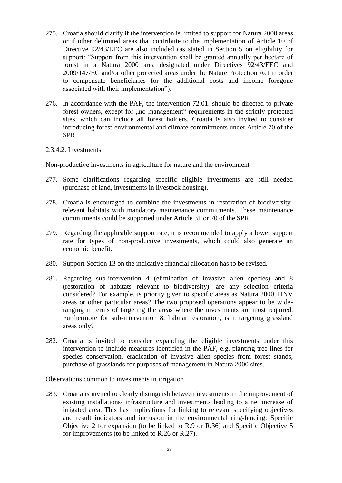- 275. Croatia should clarify if the intervention is limited to support for Natura 2000 areas or if other delimited areas that contribute to the implementation of Article 10 of Directive 92/43/EEC are also included (as stated in Section 5 on eligibility for support: "Support from this intervention shall be granted annually per hectare of forest in a Natura 2000 area designated under Directives 92/43/EEC and 2009/147/EC and/or other protected areas under the Nature Protection Act in order to compensate beneficiaries for the additional costs and income foregone associated with their implementation").
- 276. In accordance with the PAF, the intervention 72.01. should be directed to private forest owners, except for , no management" requirements in the strictly protected sites, which can include all forest holders. Croatia is also invited to consider introducing forest-environmental and climate commitments under Article 70 of the SPR.

#### 2.3.4.2. Investments

Non-productive investments in agriculture for nature and the environment

- 277. Some clarifications regarding specific eligible investments are still needed (purchase of land, investments in livestock housing).
- 278. Croatia is encouraged to combine the investments in restoration of biodiversityrelevant habitats with mandatory maintenance commitments. These maintenance commitments could be supported under Article 31 or 70 of the SPR.
- 279. Regarding the applicable support rate, it is recommended to apply a lower support rate for types of non-productive investments, which could also generate an economic benefit.
- 280. Support Section 13 on the indicative financial allocation has to be revised.
- 281. Regarding sub-intervention 4 (elimination of invasive alien species) and 8 (restoration of habitats relevant to biodiversity), are any selection criteria considered? For example, is priority given to specific areas as Natura 2000, HNV areas or other particular areas? The two proposed operations appear to be wideranging in terms of targeting the areas where the investments are most required. Furthermore for sub-intervention 8, habitat restoration, is it targeting grassland areas only?
- 282. Croatia is invited to consider expanding the eligible investments under this intervention to include measures identified in the PAF, e.g. planting tree lines for species conservation, eradication of invasive alien species from forest stands, purchase of grasslands for purposes of management in Natura 2000 sites.

Observations common to investments in irrigation

283. Croatia is invited to clearly distinguish between investments in the improvement of existing installations/ infrastructure and investments leading to a net increase of irrigated area. This has implications for linking to relevant specifying objectives and result indicators and inclusion in the environmental ring-fencing: Specific Objective 2 for expansion (to be linked to R.9 or R.36) and Specific Objective 5 for improvements (to be linked to R.26 or R.27).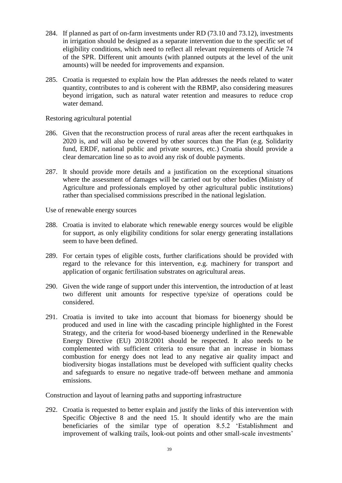- 284. If planned as part of on-farm investments under RD (73.10 and 73.12), investments in irrigation should be designed as a separate intervention due to the specific set of eligibility conditions, which need to reflect all relevant requirements of Article 74 of the SPR. Different unit amounts (with planned outputs at the level of the unit amounts) will be needed for improvements and expansion.
- 285. Croatia is requested to explain how the Plan addresses the needs related to water quantity, contributes to and is coherent with the RBMP, also considering measures beyond irrigation, such as natural water retention and measures to reduce crop water demand.

Restoring agricultural potential

- 286. Given that the reconstruction process of rural areas after the recent earthquakes in 2020 is, and will also be covered by other sources than the Plan (e.g. Solidarity fund, ERDF, national public and private sources, etc.) Croatia should provide a clear demarcation line so as to avoid any risk of double payments.
- 287. It should provide more details and a justification on the exceptional situations where the assessment of damages will be carried out by other bodies (Ministry of Agriculture and professionals employed by other agricultural public institutions) rather than specialised commissions prescribed in the national legislation.

Use of renewable energy sources

- 288. Croatia is invited to elaborate which renewable energy sources would be eligible for support, as only eligibility conditions for solar energy generating installations seem to have been defined.
- 289. For certain types of eligible costs, further clarifications should be provided with regard to the relevance for this intervention, e.g. machinery for transport and application of organic fertilisation substrates on agricultural areas.
- 290. Given the wide range of support under this intervention, the introduction of at least two different unit amounts for respective type/size of operations could be considered.
- 291. Croatia is invited to take into account that biomass for bioenergy should be produced and used in line with the cascading principle highlighted in the Forest Strategy, and the criteria for wood-based bioenergy underlined in the Renewable Energy Directive (EU) 2018/2001 should be respected. It also needs to be complemented with sufficient criteria to ensure that an increase in biomass combustion for energy does not lead to any negative air quality impact and biodiversity biogas installations must be developed with sufficient quality checks and safeguards to ensure no negative trade-off between methane and ammonia emissions.

Construction and layout of learning paths and supporting infrastructure

292. Croatia is requested to better explain and justify the links of this intervention with Specific Objective 8 and the need 15. It should identify who are the main beneficiaries of the similar type of operation 8.5.2 'Establishment and improvement of walking trails, look-out points and other small-scale investments'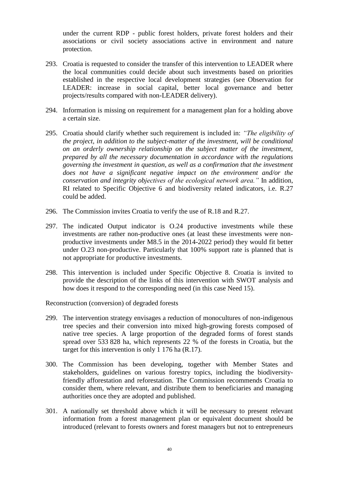under the current RDP - public forest holders, private forest holders and their associations or civil society associations active in environment and nature protection.

- 293. Croatia is requested to consider the transfer of this intervention to LEADER where the local communities could decide about such investments based on priorities established in the respective local development strategies (see Observation for LEADER: increase in social capital, better local governance and better projects/results compared with non-LEADER delivery).
- 294. Information is missing on requirement for a management plan for a holding above a certain size.
- 295. Croatia should clarify whether such requirement is included in: *"The eligibility of the project, in addition to the subject-matter of the investment, will be conditional on an orderly ownership relationship on the subject matter of the investment, prepared by all the necessary documentation in accordance with the regulations governing the investment in question, as well as a confirmation that the investment does not have a significant negative impact on the environment and/or the conservation and integrity objectives of the ecological network area."* In addition, RI related to Specific Objective 6 and biodiversity related indicators, i.e. R.27 could be added.
- 296. The Commission invites Croatia to verify the use of R.18 and R.27.
- 297. The indicated Output indicator is O.24 productive investments while these investments are rather non-productive ones (at least these investments were nonproductive investments under M8.5 in the 2014-2022 period) they would fit better under O.23 non-productive. Particularly that 100% support rate is planned that is not appropriate for productive investments.
- 298. This intervention is included under Specific Objective 8. Croatia is invited to provide the description of the links of this intervention with SWOT analysis and how does it respond to the corresponding need (in this case Need 15).

Reconstruction (conversion) of degraded forests

- 299. The intervention strategy envisages a reduction of monocultures of non-indigenous tree species and their conversion into mixed high-growing forests composed of native tree species. A large proportion of the degraded forms of forest stands spread over 533 828 ha, which represents 22 % of the forests in Croatia, but the target for this intervention is only 1 176 ha (R.17).
- 300. The Commission has been developing, together with Member States and stakeholders, guidelines on various forestry topics, including the biodiversityfriendly afforestation and reforestation. The Commission recommends Croatia to consider them, where relevant, and distribute them to beneficiaries and managing authorities once they are adopted and published.
- 301. A nationally set threshold above which it will be necessary to present relevant information from a forest management plan or equivalent document should be introduced (relevant to forests owners and forest managers but not to entrepreneurs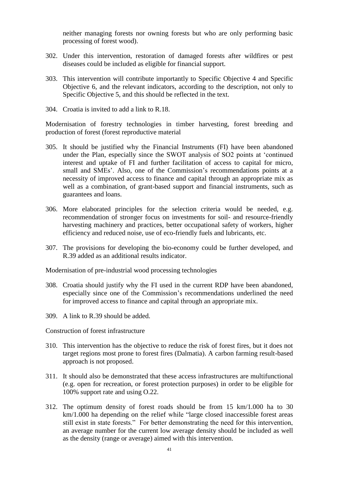neither managing forests nor owning forests but who are only performing basic processing of forest wood).

- 302. Under this intervention, restoration of damaged forests after wildfires or pest diseases could be included as eligible for financial support.
- 303. This intervention will contribute importantly to Specific Objective 4 and Specific Objective 6, and the relevant indicators, according to the description, not only to Specific Objective 5, and this should be reflected in the text.
- 304. Croatia is invited to add a link to R.18.

Modernisation of forestry technologies in timber harvesting, forest breeding and production of forest (forest reproductive material

- 305. It should be justified why the Financial Instruments (FI) have been abandoned under the Plan, especially since the SWOT analysis of SO2 points at 'continued interest and uptake of FI and further facilitation of access to capital for micro, small and SMEs'. Also, one of the Commission's recommendations points at a necessity of improved access to finance and capital through an appropriate mix as well as a combination, of grant-based support and financial instruments, such as guarantees and loans.
- 306. More elaborated principles for the selection criteria would be needed, e.g. recommendation of stronger focus on investments for soil- and resource-friendly harvesting machinery and practices, better occupational safety of workers, higher efficiency and reduced noise, use of eco-friendly fuels and lubricants, etc.
- 307. The provisions for developing the bio-economy could be further developed, and R.39 added as an additional results indicator.

Modernisation of pre-industrial wood processing technologies

- 308. Croatia should justify why the FI used in the current RDP have been abandoned, especially since one of the Commission's recommendations underlined the need for improved access to finance and capital through an appropriate mix.
- 309. A link to R.39 should be added.

Construction of forest infrastructure

- 310. This intervention has the objective to reduce the risk of forest fires, but it does not target regions most prone to forest fires (Dalmatia). A carbon farming result-based approach is not proposed.
- 311. It should also be demonstrated that these access infrastructures are multifunctional (e.g. open for recreation, or forest protection purposes) in order to be eligible for 100% support rate and using O.22.
- 312. The optimum density of forest roads should be from 15 km/1.000 ha to 30 km/1.000 ha depending on the relief while "large closed inaccessible forest areas still exist in state forests." For better demonstrating the need for this intervention, an average number for the current low average density should be included as well as the density (range or average) aimed with this intervention.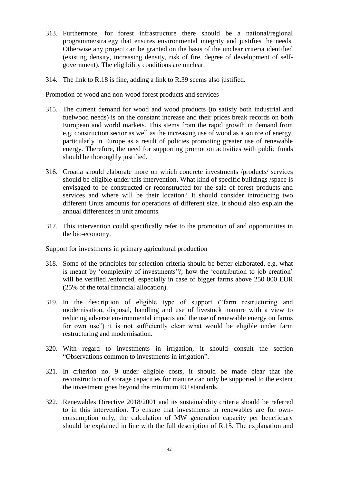- 313. Furthermore, for forest infrastructure there should be a national/regional programme/strategy that ensures environmental integrity and justifies the needs. Otherwise any project can be granted on the basis of the unclear criteria identified (existing density, increasing density, risk of fire, degree of development of selfgovernment). The eligibility conditions are unclear.
- 314. The link to R.18 is fine, adding a link to R.39 seems also justified.

Promotion of wood and non-wood forest products and services

- 315. The current demand for wood and wood products (to satisfy both industrial and fuelwood needs) is on the constant increase and their prices break records on both European and world markets. This stems from the rapid growth in demand from e.g. construction sector as well as the increasing use of wood as a source of energy, particularly in Europe as a result of policies promoting greater use of renewable energy. Therefore, the need for supporting promotion activities with public funds should be thoroughly justified.
- 316. Croatia should elaborate more on which concrete investments /products/ services should be eligible under this intervention. What kind of specific buildings /space is envisaged to be constructed or reconstructed for the sale of forest products and services and where will be their location? It should consider introducing two different Units amounts for operations of different size. It should also explain the annual differences in unit amounts.
- 317. This intervention could specifically refer to the promotion of and opportunities in the bio-economy.

Support for investments in primary agricultural production

- 318. Some of the principles for selection criteria should be better elaborated, e.g. what is meant by 'complexity of investments'?; how the 'contribution to job creation' will be verified /enforced, especially in case of bigger farms above 250 000 EUR (25% of the total financial allocation).
- 319. In the description of eligible type of support ("farm restructuring and modernisation, disposal, handling and use of livestock manure with a view to reducing adverse environmental impacts and the use of renewable energy on farms for own use") it is not sufficiently clear what would be eligible under farm restructuring and modernisation.
- 320. With regard to investments in irrigation, it should consult the section "Observations common to investments in irrigation".
- 321. In criterion no. 9 under eligible costs, it should be made clear that the reconstruction of storage capacities for manure can only be supported to the extent the investment goes beyond the minimum EU standards.
- 322. Renewables Directive 2018/2001 and its sustainability criteria should be referred to in this intervention. To ensure that investments in renewables are for ownconsumption only, the calculation of MW generation capacity per beneficiary should be explained in line with the full description of R.15. The explanation and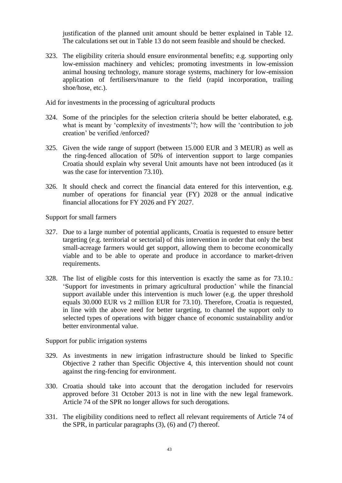justification of the planned unit amount should be better explained in Table 12. The calculations set out in Table 13 do not seem feasible and should be checked.

323. The eligibility criteria should ensure environmental benefits; e.g. supporting only low-emission machinery and vehicles; promoting investments in low-emission animal housing technology, manure storage systems, machinery for low-emission application of fertilisers/manure to the field (rapid incorporation, trailing shoe/hose, etc.).

Aid for investments in the processing of agricultural products

- 324. Some of the principles for the selection criteria should be better elaborated, e.g. what is meant by 'complexity of investments'?; how will the 'contribution to job creation' be verified /enforced?
- 325. Given the wide range of support (between 15.000 EUR and 3 MEUR) as well as the ring-fenced allocation of 50% of intervention support to large companies Croatia should explain why several Unit amounts have not been introduced (as it was the case for intervention 73.10).
- 326. It should check and correct the financial data entered for this intervention, e.g. number of operations for financial year (FY) 2028 or the annual indicative financial allocations for FY 2026 and FY 2027.

Support for small farmers

- 327. Due to a large number of potential applicants, Croatia is requested to ensure better targeting (e.g. territorial or sectorial) of this intervention in order that only the best small-acreage farmers would get support, allowing them to become economically viable and to be able to operate and produce in accordance to market-driven requirements.
- 328. The list of eligible costs for this intervention is exactly the same as for 73.10.: 'Support for investments in primary agricultural production' while the financial support available under this intervention is much lower (e.g. the upper threshold equals 30.000 EUR vs 2 million EUR for 73.10). Therefore, Croatia is requested, in line with the above need for better targeting, to channel the support only to selected types of operations with bigger chance of economic sustainability and/or better environmental value.

Support for public irrigation systems

- 329. As investments in new irrigation infrastructure should be linked to Specific Objective 2 rather than Specific Objective 4, this intervention should not count against the ring-fencing for environment.
- 330. Croatia should take into account that the derogation included for reservoirs approved before 31 October 2013 is not in line with the new legal framework. Article 74 of the SPR no longer allows for such derogations.
- 331. The eligibility conditions need to reflect all relevant requirements of Article 74 of the SPR, in particular paragraphs (3), (6) and (7) thereof.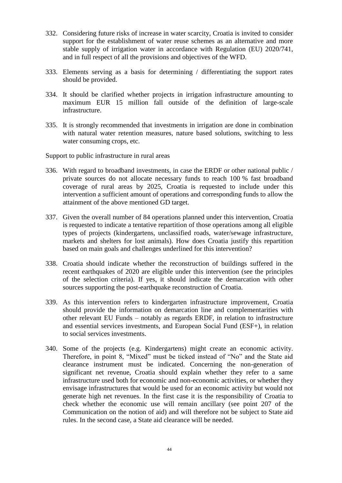- 332. Considering future risks of increase in water scarcity, Croatia is invited to consider support for the establishment of water reuse schemes as an alternative and more stable supply of irrigation water in accordance with Regulation (EU) 2020/741, and in full respect of all the provisions and objectives of the WFD.
- 333. Elements serving as a basis for determining / differentiating the support rates should be provided.
- 334. It should be clarified whether projects in irrigation infrastructure amounting to maximum EUR 15 million fall outside of the definition of large-scale infrastructure.
- 335. It is strongly recommended that investments in irrigation are done in combination with natural water retention measures, nature based solutions, switching to less water consuming crops, etc.

Support to public infrastructure in rural areas

- 336. With regard to broadband investments, in case the ERDF or other national public / private sources do not allocate necessary funds to reach 100 % fast broadband coverage of rural areas by 2025, Croatia is requested to include under this intervention a sufficient amount of operations and corresponding funds to allow the attainment of the above mentioned GD target.
- 337. Given the overall number of 84 operations planned under this intervention, Croatia is requested to indicate a tentative repartition of those operations among all eligible types of projects (kindergartens, unclassified roads, water/sewage infrastructure, markets and shelters for lost animals). How does Croatia justify this repartition based on main goals and challenges underlined for this intervention?
- 338. Croatia should indicate whether the reconstruction of buildings suffered in the recent earthquakes of 2020 are eligible under this intervention (see the principles of the selection criteria). If yes, it should indicate the demarcation with other sources supporting the post-earthquake reconstruction of Croatia.
- 339. As this intervention refers to kindergarten infrastructure improvement, Croatia should provide the information on demarcation line and complementarities with other relevant EU Funds – notably as regards ERDF, in relation to infrastructure and essential services investments, and European Social Fund (ESF+), in relation to social services investments.
- 340. Some of the projects (e.g. Kindergartens) might create an economic activity. Therefore, in point 8, "Mixed" must be ticked instead of "No" and the State aid clearance instrument must be indicated. Concerning the non-generation of significant net revenue, Croatia should explain whether they refer to a same infrastructure used both for economic and non-economic activities, or whether they envisage infrastructures that would be used for an economic activity but would not generate high net revenues. In the first case it is the responsibility of Croatia to check whether the economic use will remain ancillary (see point 207 of the Communication on the notion of aid) and will therefore not be subject to State aid rules. In the second case, a State aid clearance will be needed.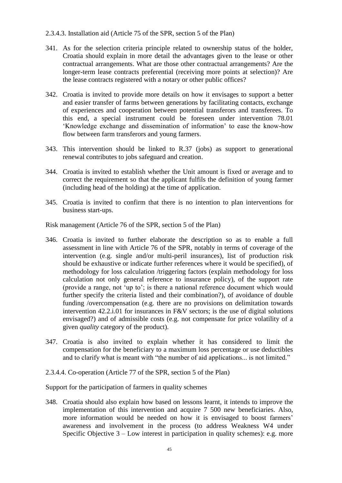#### 2.3.4.3. Installation aid (Article 75 of the SPR, section 5 of the Plan)

- 341. As for the selection criteria principle related to ownership status of the holder, Croatia should explain in more detail the advantages given to the lease or other contractual arrangements. What are those other contractual arrangements? Are the longer-term lease contracts preferential (receiving more points at selection)? Are the lease contracts registered with a notary or other public offices?
- 342. Croatia is invited to provide more details on how it envisages to support a better and easier transfer of farms between generations by facilitating contacts, exchange of experiences and cooperation between potential transferors and transferees. To this end, a special instrument could be foreseen under intervention 78.01 'Knowledge exchange and dissemination of information' to ease the know-how flow between farm transferors and young farmers.
- 343. This intervention should be linked to R.37 (jobs) as support to generational renewal contributes to jobs safeguard and creation.
- 344. Croatia is invited to establish whether the Unit amount is fixed or average and to correct the requirement so that the applicant fulfils the definition of young farmer (including head of the holding) at the time of application.
- 345. Croatia is invited to confirm that there is no intention to plan interventions for business start-ups.

Risk management (Article 76 of the SPR, section 5 of the Plan)

- 346. Croatia is invited to further elaborate the description so as to enable a full assessment in line with Article 76 of the SPR, notably in terms of coverage of the intervention (e.g. single and/or multi-peril insurances), list of production risk should be exhaustive or indicate further references where it would be specified), of methodology for loss calculation /triggering factors (explain methodology for loss calculation not only general reference to insurance policy), of the support rate (provide a range, not 'up to'; is there a national reference document which would further specify the criteria listed and their combination?), of avoidance of double funding /overcompensation (e.g. there are no provisions on delimitation towards intervention 42.2.i.01 for insurances in F&V sectors; is the use of digital solutions envisaged?) and of admissible costs (e.g. not compensate for price volatility of a given *quality* category of the product).
- 347. Croatia is also invited to explain whether it has considered to limit the compensation for the beneficiary to a maximum loss percentage or use deductibles and to clarify what is meant with "the number of aid applications... is not limited."
- 2.3.4.4. Co-operation (Article 77 of the SPR, section 5 of the Plan)

Support for the participation of farmers in quality schemes

348. Croatia should also explain how based on lessons learnt, it intends to improve the implementation of this intervention and acquire 7 500 new beneficiaries. Also, more information would be needed on how it is envisaged to boost farmers' awareness and involvement in the process (to address Weakness W4 under Specific Objective  $3 -$  Low interest in participation in quality schemes): e.g. more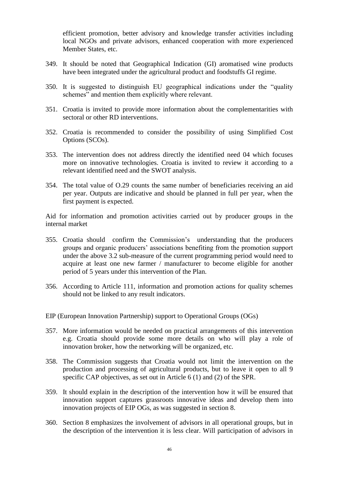efficient promotion, better advisory and knowledge transfer activities including local NGOs and private advisors, enhanced cooperation with more experienced Member States, etc.

- 349. It should be noted that Geographical Indication (GI) aromatised wine products have been integrated under the agricultural product and foodstuffs GI regime.
- 350. It is suggested to distinguish EU geographical indications under the "quality schemes" and mention them explicitly where relevant.
- 351. Croatia is invited to provide more information about the complementarities with sectoral or other RD interventions.
- 352. Croatia is recommended to consider the possibility of using Simplified Cost Options (SCOs).
- 353. The intervention does not address directly the identified need 04 which focuses more on innovative technologies. Croatia is invited to review it according to a relevant identified need and the SWOT analysis.
- 354. The total value of O.29 counts the same number of beneficiaries receiving an aid per year. Outputs are indicative and should be planned in full per year, when the first payment is expected.

Aid for information and promotion activities carried out by producer groups in the internal market

- 355. Croatia should confirm the Commission's understanding that the producers groups and organic producers' associations benefiting from the promotion support under the above 3.2 sub-measure of the current programming period would need to acquire at least one new farmer / manufacturer to become eligible for another period of 5 years under this intervention of the Plan.
- 356. According to Article 111, information and promotion actions for quality schemes should not be linked to any result indicators.
- EIP (European Innovation Partnership) support to Operational Groups (OGs)
- 357. More information would be needed on practical arrangements of this intervention e.g. Croatia should provide some more details on who will play a role of innovation broker, how the networking will be organized, etc.
- 358. The Commission suggests that Croatia would not limit the intervention on the production and processing of agricultural products, but to leave it open to all 9 specific CAP objectives, as set out in Article 6 (1) and (2) of the SPR.
- 359. It should explain in the description of the intervention how it will be ensured that innovation support captures grassroots innovative ideas and develop them into innovation projects of EIP OGs, as was suggested in section 8.
- 360. Section 8 emphasizes the involvement of advisors in all operational groups, but in the description of the intervention it is less clear. Will participation of advisors in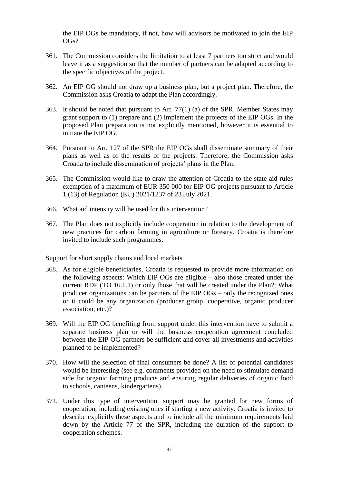the EIP OGs be mandatory, if not, how will advisors be motivated to join the EIP OGs?

- 361. The Commission considers the limitation to at least 7 partners too strict and would leave it as a suggestion so that the number of partners can be adapted according to the specific objectives of the project.
- 362. An EIP OG should not draw up a business plan, but a project plan. Therefore, the Commission asks Croatia to adapt the Plan accordingly.
- 363. It should be noted that pursuant to Art. 77(1) (a) of the SPR, Member States may grant support to (1) prepare and (2) implement the projects of the EIP OGs. In the proposed Plan preparation is not explicitly mentioned, however it is essential to initiate the EIP OG.
- 364. Pursuant to Art. 127 of the SPR the EIP OGs shall disseminate summary of their plans as well as of the results of the projects. Therefore, the Commission asks Croatia to include dissemination of projects' plans in the Plan.
- 365. The Commission would like to draw the attention of Croatia to the state aid rules exemption of a maximum of EUR 350 000 for EIP OG projects pursuant to Article 1 (13) of Regulation (EU) 2021/1237 of 23 July 2021.
- 366. What aid intensity will be used for this intervention?
- 367. The Plan does not explicitly include cooperation in relation to the development of new practices for carbon farming in agriculture or forestry. Croatia is therefore invited to include such programmes.

Support for short supply chains and local markets

- 368. As for eligible beneficiaries, Croatia is requested to provide more information on the following aspects: Which EIP OGs are eligible – also those created under the current RDP (TO 16.1.1) or only those that will be created under the Plan?; What producer organizations can be partners of the EIP OGs – only the recognized ones or it could be any organization (producer group, cooperative, organic producer association, etc.)?
- 369. Will the EIP OG benefiting from support under this intervention have to submit a separate business plan or will the business cooperation agreement concluded between the EIP OG partners be sufficient and cover all investments and activities planned to be implemented?
- 370. How will the selection of final consumers be done? A list of potential candidates would be interesting (see e.g. comments provided on the need to stimulate demand side for organic farming products and ensuring regular deliveries of organic food to schools, canteens, kindergartens).
- 371. Under this type of intervention, support may be granted for new forms of cooperation, including existing ones if starting a new activity. Croatia is invited to describe explicitly these aspects and to include all the minimum requirements laid down by the Article 77 of the SPR, including the duration of the support to cooperation schemes.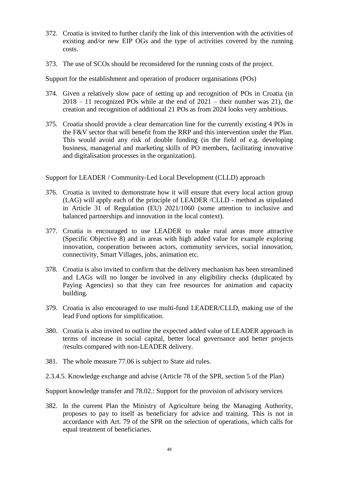- 372. Croatia is invited to further clarify the link of this intervention with the activities of existing and/or new EIP OGs and the type of activities covered by the running costs.
- 373. The use of SCOs should be reconsidered for the running costs of the project.

Support for the establishment and operation of producer organisations (POs)

- 374. Given a relatively slow pace of setting up and recognition of POs in Croatia (in  $2018 - 11$  recognized POs while at the end of  $2021 -$  their number was 21), the creation and recognition of additional 21 POs as from 2024 looks very ambitious.
- 375. Croatia should provide a clear demarcation line for the currently existing 4 POs in the F&V sector that will benefit from the RRP and this intervention under the Plan. This would avoid any risk of double funding (in the field of e.g. developing business, managerial and marketing skills of PO members, facilitating innovative and digitalisation processes in the organization).

Support for LEADER / Community-Led Local Development (CLLD) approach

- 376. Croatia is invited to demonstrate how it will ensure that every local action group (LAG) will apply each of the principle of LEADER /CLLD - method as stipulated in Article 31 of Regulation (EU) 2021/1060 (some attention to inclusive and balanced partnerships and innovation in the local context).
- 377. Croatia is encouraged to use LEADER to make rural areas more attractive (Specific Objective 8) and in areas with high added value for example exploring innovation, cooperation between actors, community services, social innovation, connectivity, Smart Villages, jobs, animation etc.
- 378. Croatia is also invited to confirm that the delivery mechanism has been streamlined and LAGs will no longer be involved in any eligibility checks (duplicated by Paying Agencies) so that they can free resources for animation and capacity building.
- 379. Croatia is also encouraged to use multi-fund LEADER/CLLD, making use of the lead Fund options for simplification.
- 380. Croatia is also invited to outline the expected added value of LEADER approach in terms of increase in social capital, better local governance and better projects /results compared with non-LEADER delivery.
- 381. The whole measure 77.06 is subject to State aid rules.
- 2.3.4.5. Knowledge exchange and advise (Article 78 of the SPR, section 5 of the Plan)

Support knowledge transfer and 78.02.: Support for the provision of advisory services

382. In the current Plan the Ministry of Agriculture being the Managing Authority, proposes to pay to itself as beneficiary for advice and training. This is not in accordance with Art. 79 of the SPR on the selection of operations, which calls for equal treatment of beneficiaries.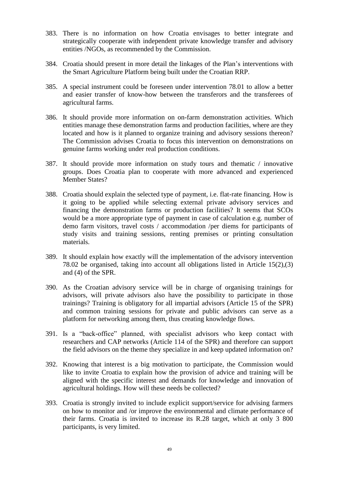- 383. There is no information on how Croatia envisages to better integrate and strategically cooperate with independent private knowledge transfer and advisory entities /NGOs, as recommended by the Commission.
- 384. Croatia should present in more detail the linkages of the Plan's interventions with the Smart Agriculture Platform being built under the Croatian RRP.
- 385. A special instrument could be foreseen under intervention 78.01 to allow a better and easier transfer of know-how between the transferors and the transferees of agricultural farms.
- 386. It should provide more information on on-farm demonstration activities. Which entities manage these demonstration farms and production facilities, where are they located and how is it planned to organize training and advisory sessions thereon? The Commission advises Croatia to focus this intervention on demonstrations on genuine farms working under real production conditions.
- 387. It should provide more information on study tours and thematic / innovative groups. Does Croatia plan to cooperate with more advanced and experienced Member States?
- 388. Croatia should explain the selected type of payment, i.e. flat-rate financing. How is it going to be applied while selecting external private advisory services and financing the demonstration farms or production facilities? It seems that SCOs would be a more appropriate type of payment in case of calculation e.g. number of demo farm visitors, travel costs / accommodation /per diems for participants of study visits and training sessions, renting premises or printing consultation materials.
- 389. It should explain how exactly will the implementation of the advisory intervention 78.02 be organised, taking into account all obligations listed in Article 15(2),(3) and (4) of the SPR.
- 390. As the Croatian advisory service will be in charge of organising trainings for advisors, will private advisors also have the possibility to participate in those trainings? Training is obligatory for all impartial advisors (Article 15 of the SPR) and common training sessions for private and public advisors can serve as a platform for networking among them, thus creating knowledge flows.
- 391. Is a "back-office" planned, with specialist advisors who keep contact with researchers and CAP networks (Article 114 of the SPR) and therefore can support the field advisors on the theme they specialize in and keep updated information on?
- 392. Knowing that interest is a big motivation to participate, the Commission would like to invite Croatia to explain how the provision of advice and training will be aligned with the specific interest and demands for knowledge and innovation of agricultural holdings. How will these needs be collected?
- 393. Croatia is strongly invited to include explicit support/service for advising farmers on how to monitor and /or improve the environmental and climate performance of their farms. Croatia is invited to increase its R.28 target, which at only 3 800 participants, is very limited.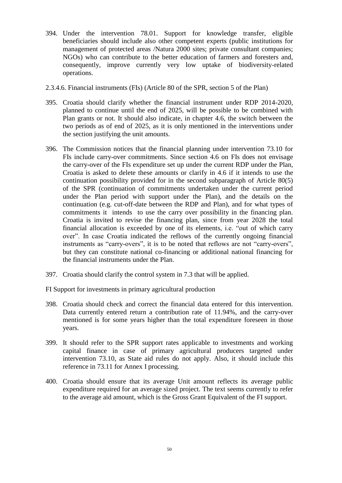- 394. Under the intervention 78.01. Support for knowledge transfer, eligible beneficiaries should include also other competent experts (public institutions for management of protected areas /Natura 2000 sites; private consultant companies; NGOs) who can contribute to the better education of farmers and foresters and, consequently, improve currently very low uptake of biodiversity-related operations.
- 2.3.4.6. Financial instruments (FIs) (Article 80 of the SPR, section 5 of the Plan)
- 395. Croatia should clarify whether the financial instrument under RDP 2014-2020, planned to continue until the end of 2025, will be possible to be combined with Plan grants or not. It should also indicate, in chapter 4.6, the switch between the two periods as of end of 2025, as it is only mentioned in the interventions under the section justifying the unit amounts.
- 396. The Commission notices that the financial planning under intervention 73.10 for FIs include carry-over commitments. Since section 4.6 on FIs does not envisage the carry-over of the FIs expenditure set up under the current RDP under the Plan, Croatia is asked to delete these amounts or clarify in 4.6 if it intends to use the continuation possibility provided for in the second subparagraph of Article 80(5) of the SPR (continuation of commitments undertaken under the current period under the Plan period with support under the Plan), and the details on the continuation (e.g. cut-off-date between the RDP and Plan), and for what types of commitments it intends to use the carry over possibility in the financing plan. Croatia is invited to revise the financing plan, since from year 2028 the total financial allocation is exceeded by one of its elements, i.e. "out of which carry over". In case Croatia indicated the reflows of the currently ongoing financial instruments as "carry-overs", it is to be noted that reflows are not "carry-overs", but they can constitute national co-financing or additional national financing for the financial instruments under the Plan.
- 397. Croatia should clarify the control system in 7.3 that will be applied.
- FI Support for investments in primary agricultural production
- 398. Croatia should check and correct the financial data entered for this intervention. Data currently entered return a contribution rate of 11.94%, and the carry-over mentioned is for some years higher than the total expenditure foreseen in those years.
- 399. It should refer to the SPR support rates applicable to investments and working capital finance in case of primary agricultural producers targeted under intervention 73.10, as State aid rules do not apply. Also, it should include this reference in 73.11 for Annex I processing.
- 400. Croatia should ensure that its average Unit amount reflects its average public expenditure required for an average sized project. The text seems currently to refer to the average aid amount, which is the Gross Grant Equivalent of the FI support.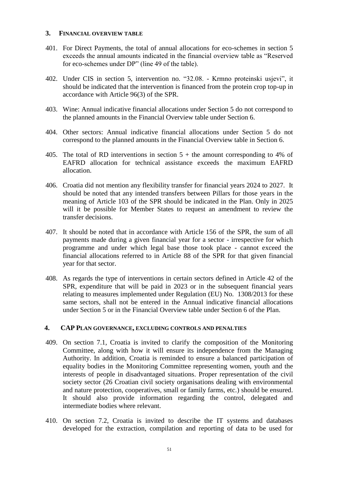#### **3. FINANCIAL OVERVIEW TABLE**

- 401. For Direct Payments, the total of annual allocations for eco-schemes in section 5 exceeds the annual amounts indicated in the financial overview table as "Reserved for eco-schemes under DP" (line 49 of the table).
- 402. Under CIS in section 5, intervention no. "32.08. Krmno proteinski usjevi", it should be indicated that the intervention is financed from the protein crop top-up in accordance with Article 96(3) of the SPR.
- 403. Wine: Annual indicative financial allocations under Section 5 do not correspond to the planned amounts in the Financial Overview table under Section 6.
- 404. Other sectors: Annual indicative financial allocations under Section 5 do not correspond to the planned amounts in the Financial Overview table in Section 6.
- 405. The total of RD interventions in section  $5 +$  the amount corresponding to 4% of EAFRD allocation for technical assistance exceeds the maximum EAFRD allocation.
- 406. Croatia did not mention any flexibility transfer for financial years 2024 to 2027. It should be noted that any intended transfers between Pillars for those years in the meaning of Article 103 of the SPR should be indicated in the Plan. Only in 2025 will it be possible for Member States to request an amendment to review the transfer decisions.
- 407. It should be noted that in accordance with Article 156 of the SPR, the sum of all payments made during a given financial year for a sector - irrespective for which programme and under which legal base those took place - cannot exceed the financial allocations referred to in Article 88 of the SPR for that given financial year for that sector.
- 408. As regards the type of interventions in certain sectors defined in Article 42 of the SPR, expenditure that will be paid in 2023 or in the subsequent financial years relating to measures implemented under Regulation (EU) No. 1308/2013 for these same sectors, shall not be entered in the Annual indicative financial allocations under Section 5 or in the Financial Overview table under Section 6 of the Plan.

#### **4. CAP PLAN GOVERNANCE, EXCLUDING CONTROLS AND PENALTIES**

- 409. On section 7.1, Croatia is invited to clarify the composition of the Monitoring Committee, along with how it will ensure its independence from the Managing Authority. In addition, Croatia is reminded to ensure a balanced participation of equality bodies in the Monitoring Committee representing women, youth and the interests of people in disadvantaged situations. Proper representation of the civil society sector (26 Croatian civil society organisations dealing with environmental and nature protection, cooperatives, small or family farms, etc.) should be ensured. It should also provide information regarding the control, delegated and intermediate bodies where relevant.
- 410. On section 7.2, Croatia is invited to describe the IT systems and databases developed for the extraction, compilation and reporting of data to be used for